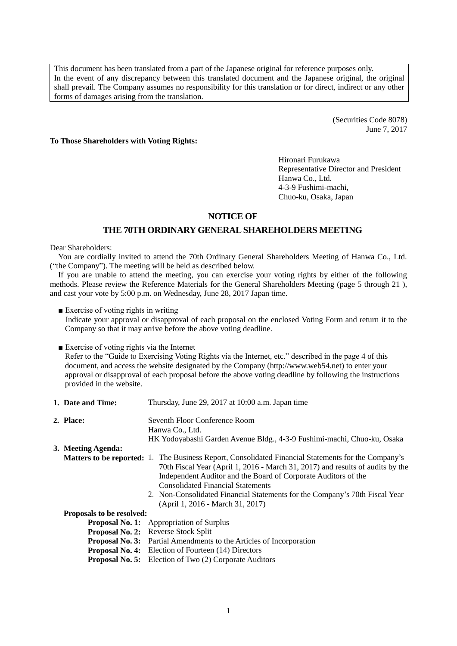This document has been translated from a part of the Japanese original for reference purposes only. In the event of any discrepancy between this translated document and the Japanese original, the original shall prevail. The Company assumes no responsibility for this translation or for direct, indirect or any other forms of damages arising from the translation.

> (Securities Code 8078) June 7, 2017

**To Those Shareholders with Voting Rights:**

Hironari Furukawa Representative Director and President Hanwa Co., Ltd. 4-3-9 Fushimi-machi, Chuo-ku, Osaka, Japan

## **NOTICE OF**

## **THE 70TH ORDINARY GENERALSHAREHOLDERS MEETING**

Dear Shareholders:

You are cordially invited to attend the 70th Ordinary General Shareholders Meeting of Hanwa Co., Ltd. ("the Company"). The meeting will be held as described below.

If you are unable to attend the meeting, you can exercise your voting rights by either of the following methods. Please review the Reference Materials for the General Shareholders Meeting (page 5 through 21 ), and cast your vote by 5:00 p.m. on Wednesday, June 28, 2017 Japan time.

■ Exercise of voting rights in writing

Indicate your approval or disapproval of each proposal on the enclosed Voting Form and return it to the Company so that it may arrive before the above voting deadline.

■ Exercise of voting rights via the Internet

Refer to the "Guide to Exercising Voting Rights via the Internet, etc." described in the page 4 of this document, and access the website designated by the Company [\(http://www.web54.net\)](http://www.web54.net/) to enter your approval or disapproval of each proposal before the above voting deadline by following the instructions provided in the website.

- **1. Date and Time:** Thursday, June 29, 2017 at 10:00 a.m. Japan time **2. Place:** Seventh Floor Conference Room Hanwa Co., Ltd. HK Yodoyabashi Garden Avenue Bldg., 4-3-9 Fushimi-machi, Chuo-ku, Osaka **3. Meeting Agenda: Matters to be reported:** 1. The Business Report, Consolidated Financial Statements for the Company's 70th Fiscal Year (April 1, 2016 - March 31, 2017) and results of audits by the Independent Auditor and the Board of Corporate Auditors of the Consolidated Financial Statements 2. Non-Consolidated Financial Statements for the Company's 70th Fiscal Year (April 1, 2016 - March 31, 2017) **Proposals to be resolved: Proposal No. 1:** Appropriation of Surplus **Proposal No. 2:** Reverse Stock Split **Proposal No. 3:** Partial Amendments to the Articles of Incorporation **Proposal No. 4:** Election of Fourteen (14) Directors
	- **Proposal No. 5:** Election of Two (2) Corporate Auditors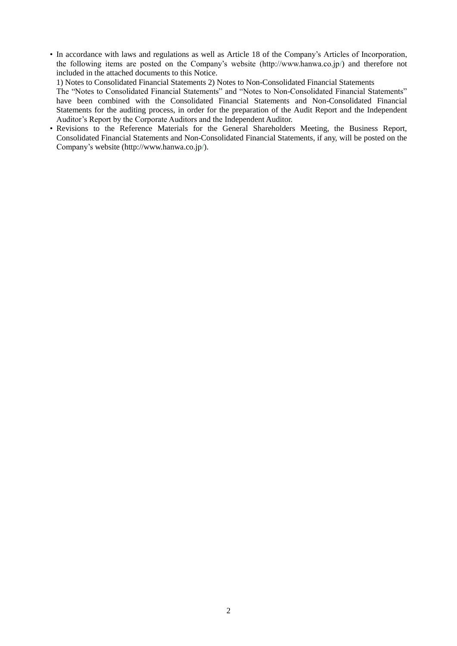• In accordance with laws and regulations as well as Article 18 of the Company's Articles of Incorporation, the following items are posted on the Company's website (http://www.hanwa.co.jp/) and therefore not included in the attached documents to this Notice.

1) Notes to Consolidated Financial Statements 2) Notes to Non-Consolidated Financial Statements

The "Notes to Consolidated Financial Statements" and "Notes to Non-Consolidated Financial Statements" have been combined with the Consolidated Financial Statements and Non-Consolidated Financial Statements for the auditing process, in order for the preparation of the Audit Report and the Independent Auditor's Report by the Corporate Auditors and the Independent Auditor.

• Revisions to the Reference Materials for the General Shareholders Meeting, the Business Report, Consolidated Financial Statements and Non-Consolidated Financial Statements, if any, will be posted on the Company's website (http://www.hanwa.co.jp/).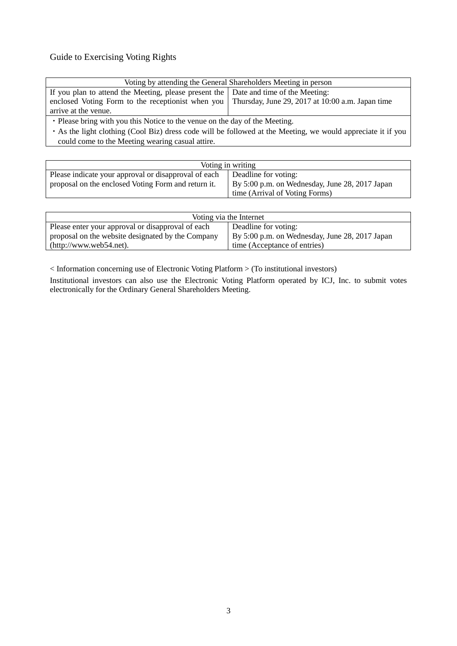# Guide to Exercising Voting Rights

| Voting by attending the General Shareholders Meeting in person                                       |  |  |  |
|------------------------------------------------------------------------------------------------------|--|--|--|
| If you plan to attend the Meeting, please present the Date and time of the Meeting:                  |  |  |  |
| enclosed Voting Form to the receptionist when you   Thursday, June 29, 2017 at 10:00 a.m. Japan time |  |  |  |
| arrive at the venue.                                                                                 |  |  |  |
| • Place bring with you this Notice to the young on the day of the Meeting                            |  |  |  |

Please bring with you this Notice to the venue on the day of the Meeting.

・As the light clothing (Cool Biz) dress code will be followed at the Meeting, we would appreciate it if you could come to the Meeting wearing casual attire.

| Voting in writing                                                                                           |                                                                                                          |  |
|-------------------------------------------------------------------------------------------------------------|----------------------------------------------------------------------------------------------------------|--|
| Please indicate your approval or disapproval of each<br>proposal on the enclosed Voting Form and return it. | Deadline for voting:<br>By 5:00 p.m. on Wednesday, June 28, 2017 Japan<br>time (Arrival of Voting Forms) |  |
|                                                                                                             |                                                                                                          |  |

| Voting via the Internet                           |                                                |  |  |
|---------------------------------------------------|------------------------------------------------|--|--|
| Please enter your approval or disapproval of each | Deadline for voting:                           |  |  |
| proposal on the website designated by the Company | By 5:00 p.m. on Wednesday, June 28, 2017 Japan |  |  |
| $(http://www.web54.net)$ .                        | time (Acceptance of entries)                   |  |  |

< Information concerning use of Electronic Voting Platform > (To institutional investors)

Institutional investors can also use the Electronic Voting Platform operated by ICJ, Inc. to submit votes electronically for the Ordinary General Shareholders Meeting.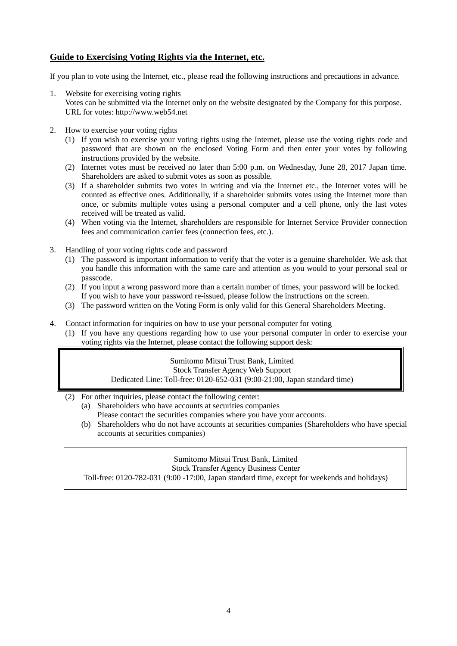# **Guide to Exercising Voting Rights via the Internet, etc.**

If you plan to vote using the Internet, etc., please read the following instructions and precautions in advance.

- 1. Website for exercising voting rights
	- Votes can be submitted via the Internet only on the website designated by the Company for this purpose. URL for votes: http://www.web54.net
- 2. How to exercise your voting rights
	- (1) If you wish to exercise your voting rights using the Internet, please use the voting rights code and password that are shown on the enclosed Voting Form and then enter your votes by following instructions provided by the website.
	- (2) Internet votes must be received no later than 5:00 p.m. on Wednesday, June 28, 2017 Japan time. Shareholders are asked to submit votes as soon as possible.
	- (3) If a shareholder submits two votes in writing and via the Internet etc., the Internet votes will be counted as effective ones. Additionally, if a shareholder submits votes using the Internet more than once, or submits multiple votes using a personal computer and a cell phone, only the last votes received will be treated as valid.
	- (4) When voting via the Internet, shareholders are responsible for Internet Service Provider connection fees and communication carrier fees (connection fees, etc.).
- 3. Handling of your voting rights code and password
	- (1) The password is important information to verify that the voter is a genuine shareholder. We ask that you handle this information with the same care and attention as you would to your personal seal or passcode.
	- (2) If you input a wrong password more than a certain number of times, your password will be locked. If you wish to have your password re-issued, please follow the instructions on the screen.
	- (3) The password written on the Voting Form is only valid for this General Shareholders Meeting.
- 4. Contact information for inquiries on how to use your personal computer for voting
	- (1) If you have any questions regarding how to use your personal computer in order to exercise your voting rights via the Internet, please contact the following support desk:

Sumitomo Mitsui Trust Bank, Limited Stock Transfer Agency Web Support Dedicated Line: Toll-free: 0120-652-031 (9:00-21:00, Japan standard time)

- (2) For other inquiries, please contact the following center:
	- (a) Shareholders who have accounts at securities companies Please contact the securities companies where you have your accounts.
	- (b) Shareholders who do not have accounts at securities companies (Shareholders who have special accounts at securities companies)

Sumitomo Mitsui Trust Bank, Limited

Stock Transfer Agency Business Center

Toll-free: 0120-782-031 (9:00 -17:00, Japan standard time, except for weekends and holidays)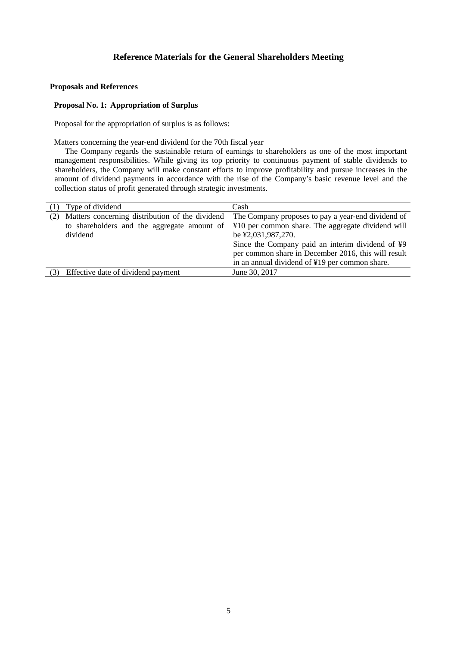## **Proposals and References**

### **Proposal No. 1: Appropriation of Surplus**

Proposal for the appropriation of surplus is as follows:

Matters concerning the year-end dividend for the 70th fiscal year

The Company regards the sustainable return of earnings to shareholders as one of the most important management responsibilities. While giving its top priority to continuous payment of stable dividends to shareholders, the Company will make constant efforts to improve profitability and pursue increases in the amount of dividend payments in accordance with the rise of the Company's basic revenue level and the collection status of profit generated through strategic investments.

|     | Type of dividend                                                                                           | Cash                                                                                                                                                                                                                                                                                       |
|-----|------------------------------------------------------------------------------------------------------------|--------------------------------------------------------------------------------------------------------------------------------------------------------------------------------------------------------------------------------------------------------------------------------------------|
| (2) | Matters concerning distribution of the dividend<br>to shareholders and the aggregate amount of<br>dividend | The Company proposes to pay a year-end dividend of<br>¥10 per common share. The aggregate dividend will<br>be ¥2,031,987,270.<br>Since the Company paid an interim dividend of ¥9<br>per common share in December 2016, this will result<br>in an annual dividend of ¥19 per common share. |
|     | Effective date of dividend payment                                                                         | June 30, 2017                                                                                                                                                                                                                                                                              |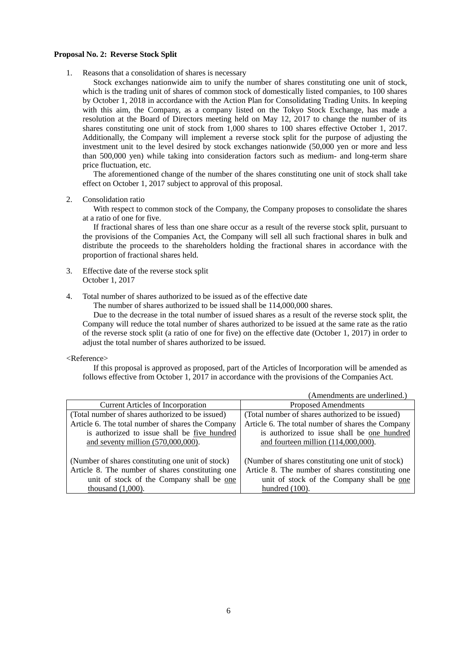#### **Proposal No. 2: Reverse Stock Split**

1. Reasons that a consolidation of shares is necessary

Stock exchanges nationwide aim to unify the number of shares constituting one unit of stock, which is the trading unit of shares of common stock of domestically listed companies, to 100 shares by October 1, 2018 in accordance with the Action Plan for Consolidating Trading Units. In keeping with this aim, the Company, as a company listed on the Tokyo Stock Exchange, has made a resolution at the Board of Directors meeting held on May 12, 2017 to change the number of its shares constituting one unit of stock from 1,000 shares to 100 shares effective October 1, 2017. Additionally, the Company will implement a reverse stock split for the purpose of adjusting the investment unit to the level desired by stock exchanges nationwide (50,000 yen or more and less than 500,000 yen) while taking into consideration factors such as medium- and long-term share price fluctuation, etc.

The aforementioned change of the number of the shares constituting one unit of stock shall take effect on October 1, 2017 subject to approval of this proposal.

2. Consolidation ratio

With respect to common stock of the Company, the Company proposes to consolidate the shares at a ratio of one for five.

If fractional shares of less than one share occur as a result of the reverse stock split, pursuant to the provisions of the Companies Act, the Company will sell all such fractional shares in bulk and distribute the proceeds to the shareholders holding the fractional shares in accordance with the proportion of fractional shares held.

- 3. Effective date of the reverse stock split October 1, 2017
- 4. Total number of shares authorized to be issued as of the effective date

The number of shares authorized to be issued shall be 114,000,000 shares.

Due to the decrease in the total number of issued shares as a result of the reverse stock split, the Company will reduce the total number of shares authorized to be issued at the same rate as the ratio of the reverse stock split (a ratio of one for five) on the effective date (October 1, 2017) in order to adjust the total number of shares authorized to be issued.

#### <Reference>

If this proposal is approved as proposed, part of the Articles of Incorporation will be amended as follows effective from October 1, 2017 in accordance with the provisions of the Companies Act.

|                                                   | (Amendments are underlined.)                      |  |
|---------------------------------------------------|---------------------------------------------------|--|
| <b>Current Articles of Incorporation</b>          | <b>Proposed Amendments</b>                        |  |
| (Total number of shares authorized to be issued)  | (Total number of shares authorized to be issued)  |  |
| Article 6. The total number of shares the Company | Article 6. The total number of shares the Company |  |
| is authorized to issue shall be five hundred      | is authorized to issue shall be one hundred       |  |
| and seventy million $(570,000,000)$ .             | and fourteen million $(114,000,000)$ .            |  |
|                                                   |                                                   |  |
| (Number of shares constituting one unit of stock) | (Number of shares constituting one unit of stock) |  |
| Article 8. The number of shares constituting one  | Article 8. The number of shares constituting one  |  |
| unit of stock of the Company shall be one         | unit of stock of the Company shall be one         |  |
| thousand $(1,000)$ .                              | hundred $(100)$ .                                 |  |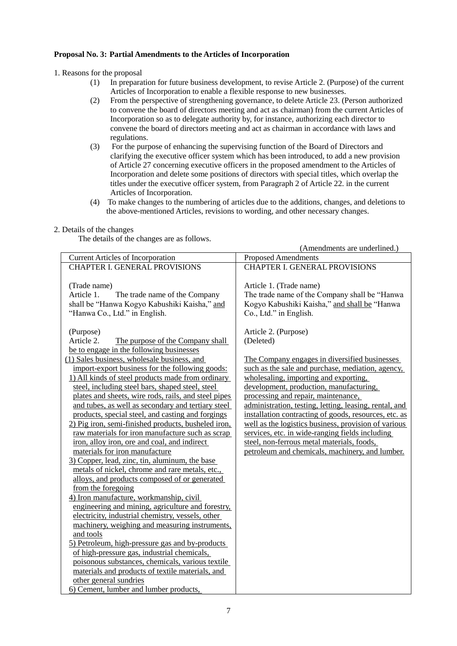## **Proposal No. 3: Partial Amendments to the Articles of Incorporation**

1. Reasons for the proposal

- (1) In preparation for future business development, to revise Article 2. (Purpose) of the current Articles of Incorporation to enable a flexible response to new businesses.
- (2) From the perspective of strengthening governance, to delete Article 23. (Person authorized to convene the board of directors meeting and act as chairman) from the current Articles of Incorporation so as to delegate authority by, for instance, authorizing each director to convene the board of directors meeting and act as chairman in accordance with laws and regulations.
- (3) For the purpose of enhancing the supervising function of the Board of Directors and clarifying the executive officer system which has been introduced, to add a new provision of Article 27 concerning executive officers in the proposed amendment to the Articles of Incorporation and delete some positions of directors with special titles, which overlap the titles under the executive officer system, from Paragraph 2 of Article 22. in the current Articles of Incorporation.
- (4) To make changes to the numbering of articles due to the additions, changes, and deletions to the above-mentioned Articles, revisions to wording, and other necessary changes.

## 2. Details of the changes

The details of the changes are as follows.

|                                                                                                                                                                                                                                                                                                                                                                                                                                                                                                                                                                                                                                                                                                                                                                                                                                                                                                                                                                                                                                                                                                                                                                                                             | (Amendments are underlined.)                                                                                                                                                                                                                                                                                                                                                                                                                                                                                                                                 |
|-------------------------------------------------------------------------------------------------------------------------------------------------------------------------------------------------------------------------------------------------------------------------------------------------------------------------------------------------------------------------------------------------------------------------------------------------------------------------------------------------------------------------------------------------------------------------------------------------------------------------------------------------------------------------------------------------------------------------------------------------------------------------------------------------------------------------------------------------------------------------------------------------------------------------------------------------------------------------------------------------------------------------------------------------------------------------------------------------------------------------------------------------------------------------------------------------------------|--------------------------------------------------------------------------------------------------------------------------------------------------------------------------------------------------------------------------------------------------------------------------------------------------------------------------------------------------------------------------------------------------------------------------------------------------------------------------------------------------------------------------------------------------------------|
| <b>Current Articles of Incorporation</b>                                                                                                                                                                                                                                                                                                                                                                                                                                                                                                                                                                                                                                                                                                                                                                                                                                                                                                                                                                                                                                                                                                                                                                    | <b>Proposed Amendments</b>                                                                                                                                                                                                                                                                                                                                                                                                                                                                                                                                   |
| <b>CHAPTER I. GENERAL PROVISIONS</b>                                                                                                                                                                                                                                                                                                                                                                                                                                                                                                                                                                                                                                                                                                                                                                                                                                                                                                                                                                                                                                                                                                                                                                        | <b>CHAPTER I. GENERAL PROVISIONS</b>                                                                                                                                                                                                                                                                                                                                                                                                                                                                                                                         |
| (Trade name)<br>Article 1.<br>The trade name of the Company<br>shall be "Hanwa Kogyo Kabushiki Kaisha," and<br>"Hanwa Co., Ltd." in English.                                                                                                                                                                                                                                                                                                                                                                                                                                                                                                                                                                                                                                                                                                                                                                                                                                                                                                                                                                                                                                                                | Article 1. (Trade name)<br>The trade name of the Company shall be "Hanwa"<br>Kogyo Kabushiki Kaisha," and shall be "Hanwa<br>Co., Ltd." in English.                                                                                                                                                                                                                                                                                                                                                                                                          |
| (Purpose)                                                                                                                                                                                                                                                                                                                                                                                                                                                                                                                                                                                                                                                                                                                                                                                                                                                                                                                                                                                                                                                                                                                                                                                                   | Article 2. (Purpose)                                                                                                                                                                                                                                                                                                                                                                                                                                                                                                                                         |
| Article 2.<br>The purpose of the Company shall                                                                                                                                                                                                                                                                                                                                                                                                                                                                                                                                                                                                                                                                                                                                                                                                                                                                                                                                                                                                                                                                                                                                                              | (Deleted)                                                                                                                                                                                                                                                                                                                                                                                                                                                                                                                                                    |
| be to engage in the following businesses                                                                                                                                                                                                                                                                                                                                                                                                                                                                                                                                                                                                                                                                                                                                                                                                                                                                                                                                                                                                                                                                                                                                                                    |                                                                                                                                                                                                                                                                                                                                                                                                                                                                                                                                                              |
| (1) Sales business, wholesale business, and<br>import-export business for the following goods:<br>1) All kinds of steel products made from ordinary<br>steel, including steel bars, shaped steel, steel<br>plates and sheets, wire rods, rails, and steel pipes<br>and tubes, as well as secondary and tertiary steel<br>products, special steel, and casting and forgings<br>2) Pig iron, semi-finished products, busheled iron,<br>raw materials for iron manufacture such as scrap<br>iron, alloy iron, ore and coal, and indirect<br>materials for iron manufacture<br>3) Copper, lead, zinc, tin, aluminum, the base<br>metals of nickel, chrome and rare metals, etc.,<br>alloys, and products composed of or generated<br>from the foregoing<br>4) Iron manufacture, workmanship, civil<br>engineering and mining, agriculture and forestry,<br>electricity, industrial chemistry, vessels, other<br>machinery, weighing and measuring instruments,<br>and tools<br>5) Petroleum, high-pressure gas and by-products<br>of high-pressure gas, industrial chemicals,<br>poisonous substances, chemicals, various textile<br>materials and products of textile materials, and<br>other general sundries | The Company engages in diversified businesses<br>such as the sale and purchase, mediation, agency,<br>wholesaling, importing and exporting,<br>development, production, manufacturing,<br>processing and repair, maintenance,<br>administration, testing, letting, leasing, rental, and<br>installation contracting of goods, resources, etc. as<br>well as the logistics business, provision of various<br>services, etc. in wide-ranging fields including<br>steel, non-ferrous metal materials, foods,<br>petroleum and chemicals, machinery, and lumber. |
|                                                                                                                                                                                                                                                                                                                                                                                                                                                                                                                                                                                                                                                                                                                                                                                                                                                                                                                                                                                                                                                                                                                                                                                                             |                                                                                                                                                                                                                                                                                                                                                                                                                                                                                                                                                              |
| 6) Cement, lumber and lumber products,                                                                                                                                                                                                                                                                                                                                                                                                                                                                                                                                                                                                                                                                                                                                                                                                                                                                                                                                                                                                                                                                                                                                                                      |                                                                                                                                                                                                                                                                                                                                                                                                                                                                                                                                                              |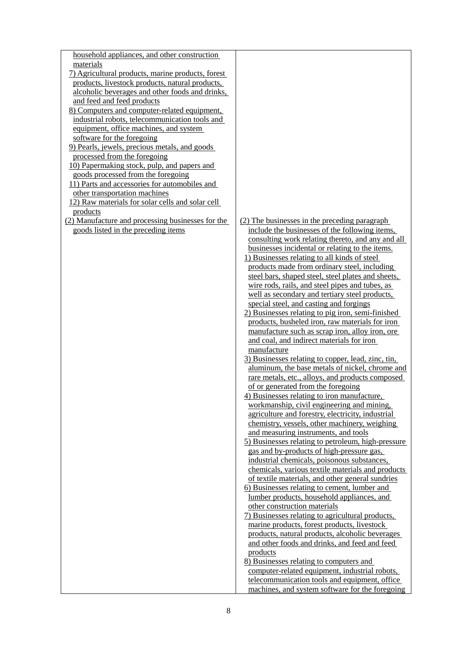| household appliances, and other construction      |                                                    |
|---------------------------------------------------|----------------------------------------------------|
| materials                                         |                                                    |
| 7) Agricultural products, marine products, forest |                                                    |
| products, livestock products, natural products,   |                                                    |
| alcoholic beverages and other foods and drinks,   |                                                    |
| and feed and feed products                        |                                                    |
| 8) Computers and computer-related equipment,      |                                                    |
| industrial robots, telecommunication tools and    |                                                    |
| equipment, office machines, and system            |                                                    |
| software for the foregoing                        |                                                    |
| 9) Pearls, jewels, precious metals, and goods     |                                                    |
| processed from the foregoing                      |                                                    |
| 10) Papermaking stock, pulp, and papers and       |                                                    |
| goods processed from the foregoing                |                                                    |
| 11) Parts and accessories for automobiles and     |                                                    |
| other transportation machines                     |                                                    |
| 12) Raw materials for solar cells and solar cell  |                                                    |
| products                                          |                                                    |
| (2) Manufacture and processing businesses for the | (2) The businesses in the preceding paragraph      |
| goods listed in the preceding items               | include the businesses of the following items,     |
|                                                   | consulting work relating thereto, and any and all  |
|                                                   | businesses incidental or relating to the items.    |
|                                                   | 1) Businesses relating to all kinds of steel       |
|                                                   | products made from ordinary steel, including       |
|                                                   | steel bars, shaped steel, steel plates and sheets, |
|                                                   | wire rods, rails, and steel pipes and tubes, as    |
|                                                   | well as secondary and tertiary steel products,     |
|                                                   | special steel, and casting and forgings            |
|                                                   | 2) Businesses relating to pig iron, semi-finished  |
|                                                   | products, busheled iron, raw materials for iron    |
|                                                   | manufacture such as scrap iron, alloy iron, ore    |
|                                                   | and coal, and indirect materials for iron          |
|                                                   | manufacture                                        |
|                                                   | 3) Businesses relating to copper, lead, zinc, tin, |
|                                                   | aluminum, the base metals of nickel, chrome and    |
|                                                   | rare metals, etc., alloys, and products composed   |
|                                                   | of or generated from the foregoing                 |
|                                                   | 4) Businesses relating to iron manufacture,        |
|                                                   | workmanship, civil engineering and mining,         |
|                                                   | agriculture and forestry, electricity, industrial  |
|                                                   | chemistry, vessels, other machinery, weighing      |
|                                                   | and measuring instruments, and tools               |
|                                                   | 5) Businesses relating to petroleum, high-pressure |
|                                                   | gas and by-products of high-pressure gas,          |
|                                                   | industrial chemicals, poisonous substances,        |
|                                                   | chemicals, various textile materials and products  |
|                                                   | of textile materials, and other general sundries   |
|                                                   | 6) Businesses relating to cement, lumber and       |
|                                                   | lumber products, household appliances, and         |
|                                                   | other construction materials                       |
|                                                   | 7) Businesses relating to agricultural products,   |
|                                                   | marine products, forest products, livestock        |
|                                                   | products, natural products, alcoholic beverages    |
|                                                   | and other foods and drinks, and feed and feed      |
|                                                   | products                                           |
|                                                   | 8) Businesses relating to computers and            |
|                                                   | computer-related equipment, industrial robots,     |
|                                                   | telecommunication tools and equipment, office      |
|                                                   | machines, and system software for the foregoing    |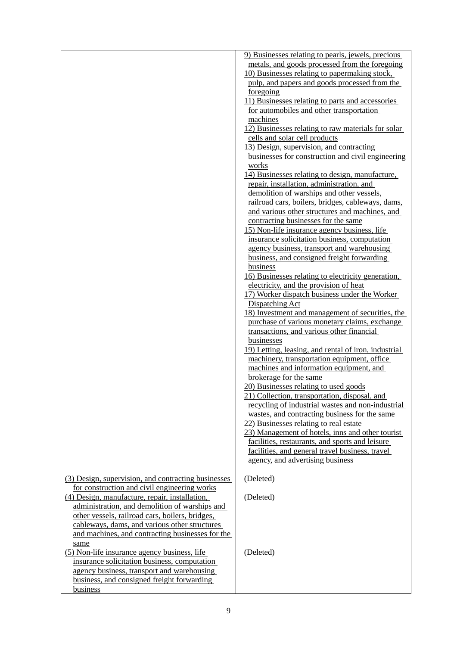|                                                                                                   | 9) Businesses relating to pearls, jewels, precious                                                 |
|---------------------------------------------------------------------------------------------------|----------------------------------------------------------------------------------------------------|
|                                                                                                   | metals, and goods processed from the foregoing                                                     |
|                                                                                                   | 10) Businesses relating to papermaking stock,                                                      |
|                                                                                                   | pulp, and papers and goods processed from the                                                      |
|                                                                                                   | foregoing                                                                                          |
|                                                                                                   | 11) Businesses relating to parts and accessories<br>for automobiles and other transportation       |
|                                                                                                   | machines                                                                                           |
|                                                                                                   | 12) Businesses relating to raw materials for solar                                                 |
|                                                                                                   | cells and solar cell products                                                                      |
|                                                                                                   | 13) Design, supervision, and contracting                                                           |
|                                                                                                   | businesses for construction and civil engineering                                                  |
|                                                                                                   | works                                                                                              |
|                                                                                                   | 14) Businesses relating to design, manufacture,                                                    |
|                                                                                                   | repair, installation, administration, and                                                          |
|                                                                                                   | demolition of warships and other vessels,<br>railroad cars, boilers, bridges, cableways, dams,     |
|                                                                                                   | and various other structures and machines, and                                                     |
|                                                                                                   | contracting businesses for the same                                                                |
|                                                                                                   | 15) Non-life insurance agency business, life                                                       |
|                                                                                                   | insurance solicitation business, computation                                                       |
|                                                                                                   | agency business, transport and warehousing                                                         |
|                                                                                                   | business, and consigned freight forwarding                                                         |
|                                                                                                   | business                                                                                           |
|                                                                                                   | 16) Businesses relating to electricity generation,                                                 |
|                                                                                                   | electricity, and the provision of heat                                                             |
|                                                                                                   | 17) Worker dispatch business under the Worker                                                      |
|                                                                                                   | <b>Dispatching Act</b>                                                                             |
|                                                                                                   | 18) Investment and management of securities, the                                                   |
|                                                                                                   | purchase of various monetary claims, exchange<br>transactions, and various other financial         |
|                                                                                                   | businesses                                                                                         |
|                                                                                                   | 19) Letting, leasing, and rental of iron, industrial                                               |
|                                                                                                   | machinery, transportation equipment, office                                                        |
|                                                                                                   | machines and information equipment, and                                                            |
|                                                                                                   | brokerage for the same                                                                             |
|                                                                                                   | 20) Businesses relating to used goods                                                              |
|                                                                                                   | 21) Collection, transportation, disposal, and                                                      |
|                                                                                                   | recycling of industrial wastes and non-industrial                                                  |
|                                                                                                   | wastes, and contracting business for the same                                                      |
|                                                                                                   | 22) Businesses relating to real estate                                                             |
|                                                                                                   | 23) Management of hotels, inns and other tourist                                                   |
|                                                                                                   | facilities, restaurants, and sports and leisure<br>facilities, and general travel business, travel |
|                                                                                                   | agency, and advertising business                                                                   |
|                                                                                                   |                                                                                                    |
| (3) Design, supervision, and contracting businesses                                               | (Deleted)                                                                                          |
| for construction and civil engineering works                                                      |                                                                                                    |
| (4) Design, manufacture, repair, installation,                                                    | (Deleted)                                                                                          |
| administration, and demolition of warships and<br>other vessels, railroad cars, boilers, bridges, |                                                                                                    |
| cableways, dams, and various other structures                                                     |                                                                                                    |
| and machines, and contracting businesses for the                                                  |                                                                                                    |
| same                                                                                              |                                                                                                    |
| (5) Non-life insurance agency business, life                                                      | (Deleted)                                                                                          |
| insurance solicitation business, computation                                                      |                                                                                                    |
| agency business, transport and warehousing                                                        |                                                                                                    |
| business, and consigned freight forwarding                                                        |                                                                                                    |
| business                                                                                          |                                                                                                    |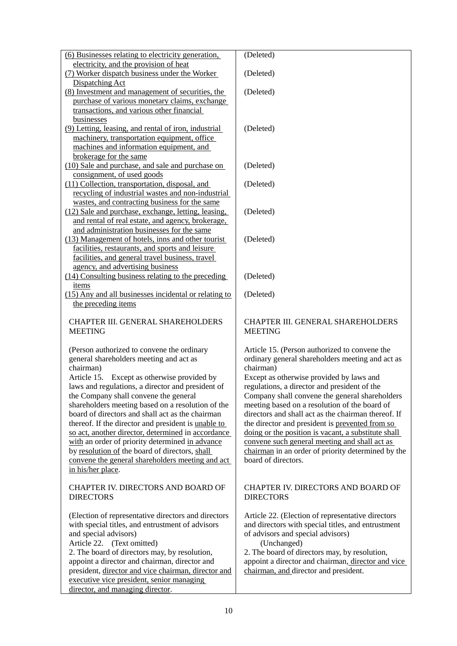| (6) Businesses relating to electricity generation,    | (Deleted)                                           |  |  |
|-------------------------------------------------------|-----------------------------------------------------|--|--|
| electricity, and the provision of heat                |                                                     |  |  |
| (7) Worker dispatch business under the Worker         | (Deleted)                                           |  |  |
| Dispatching Act                                       |                                                     |  |  |
| (8) Investment and management of securities, the      | (Deleted)                                           |  |  |
| purchase of various monetary claims, exchange         |                                                     |  |  |
| transactions, and various other financial             |                                                     |  |  |
| businesses                                            |                                                     |  |  |
| (9) Letting, leasing, and rental of iron, industrial  | (Deleted)                                           |  |  |
| machinery, transportation equipment, office           |                                                     |  |  |
| machines and information equipment, and               |                                                     |  |  |
| brokerage for the same                                |                                                     |  |  |
| (10) Sale and purchase, and sale and purchase on      | (Deleted)                                           |  |  |
| consignment, of used goods                            |                                                     |  |  |
| (11) Collection, transportation, disposal, and        | (Deleted)                                           |  |  |
| recycling of industrial wastes and non-industrial     |                                                     |  |  |
| wastes, and contracting business for the same         |                                                     |  |  |
| (12) Sale and purchase, exchange, letting, leasing,   | (Deleted)                                           |  |  |
| and rental of real estate, and agency, brokerage,     |                                                     |  |  |
| and administration businesses for the same            |                                                     |  |  |
| (13) Management of hotels, inns and other tourist     | (Deleted)                                           |  |  |
| facilities, restaurants, and sports and leisure       |                                                     |  |  |
| facilities, and general travel business, travel       |                                                     |  |  |
| agency, and advertising business                      |                                                     |  |  |
| (14) Consulting business relating to the preceding    | (Deleted)                                           |  |  |
| items                                                 |                                                     |  |  |
| (15) Any and all businesses incidental or relating to | (Deleted)                                           |  |  |
| the preceding items                                   |                                                     |  |  |
|                                                       |                                                     |  |  |
| CHAPTER III. GENERAL SHAREHOLDERS                     | CHAPTER III. GENERAL SHAREHOLDERS                   |  |  |
| <b>MEETING</b>                                        | <b>MEETING</b>                                      |  |  |
|                                                       |                                                     |  |  |
| (Person authorized to convene the ordinary            | Article 15. (Person authorized to convene the       |  |  |
| general shareholders meeting and act as               | ordinary general shareholders meeting and act as    |  |  |
| chairman)                                             | chairman)                                           |  |  |
| Article 15. Except as otherwise provided by           | Except as otherwise provided by laws and            |  |  |
| laws and regulations, a director and president of     | regulations, a director and president of the        |  |  |
|                                                       | Company shall convene the general shareholders      |  |  |
| the Company shall convene the general                 | meeting based on a resolution of the board of       |  |  |
| shareholders meeting based on a resolution of the     |                                                     |  |  |
| board of directors and shall act as the chairman      | directors and shall act as the chairman thereof. If |  |  |
| thereof. If the director and president is unable to   | the director and president is prevented from so     |  |  |
| so act, another director, determined in accordance    | doing or the position is vacant, a substitute shall |  |  |
| with an order of priority determined in advance       | convene such general meeting and shall act as       |  |  |
| by resolution of the board of directors, shall        | chairman in an order of priority determined by the  |  |  |
| convene the general shareholders meeting and act      | board of directors.                                 |  |  |
| in his/her place.                                     |                                                     |  |  |
|                                                       |                                                     |  |  |
| CHAPTER IV. DIRECTORS AND BOARD OF                    | CHAPTER IV. DIRECTORS AND BOARD OF                  |  |  |
| <b>DIRECTORS</b>                                      | <b>DIRECTORS</b>                                    |  |  |
|                                                       |                                                     |  |  |
| (Election of representative directors and directors   | Article 22. (Election of representative directors   |  |  |
| with special titles, and entrustment of advisors      | and directors with special titles, and entrustment  |  |  |
| and special advisors)                                 | of advisors and special advisors)                   |  |  |
| Article 22. (Text omitted)                            | (Unchanged)                                         |  |  |
| 2. The board of directors may, by resolution,         | 2. The board of directors may, by resolution,       |  |  |
| appoint a director and chairman, director and         | appoint a director and chairman, director and vice  |  |  |
| president, director and vice chairman, director and   | chairman, and director and president.               |  |  |
| executive vice president, senior managing             |                                                     |  |  |
| director, and managing director.                      |                                                     |  |  |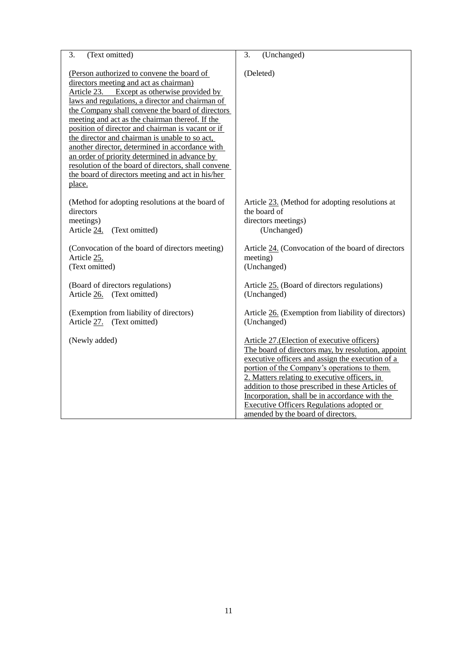| (Text omitted)                                                                                                                                                                                                                                                                                                                                                                                                                                                                                                                                                                                                                     | (Unchanged)                                                                                                                                                                                                                                                                                                                                                                                                                                              |
|------------------------------------------------------------------------------------------------------------------------------------------------------------------------------------------------------------------------------------------------------------------------------------------------------------------------------------------------------------------------------------------------------------------------------------------------------------------------------------------------------------------------------------------------------------------------------------------------------------------------------------|----------------------------------------------------------------------------------------------------------------------------------------------------------------------------------------------------------------------------------------------------------------------------------------------------------------------------------------------------------------------------------------------------------------------------------------------------------|
| 3.                                                                                                                                                                                                                                                                                                                                                                                                                                                                                                                                                                                                                                 | 3.                                                                                                                                                                                                                                                                                                                                                                                                                                                       |
| (Person authorized to convene the board of<br>directors meeting and act as chairman)<br>Article 23.<br>Except as otherwise provided by<br>laws and regulations, a director and chairman of<br>the Company shall convene the board of directors<br>meeting and act as the chairman thereof. If the<br>position of director and chairman is vacant or if<br>the director and chairman is unable to so act,<br>another director, determined in accordance with<br>an order of priority determined in advance by<br>resolution of the board of directors, shall convene<br>the board of directors meeting and act in his/her<br>place. | (Deleted)                                                                                                                                                                                                                                                                                                                                                                                                                                                |
| (Method for adopting resolutions at the board of<br>directors<br>meetings)<br>(Text omitted)<br>Article 24.                                                                                                                                                                                                                                                                                                                                                                                                                                                                                                                        | Article 23. (Method for adopting resolutions at<br>the board of<br>directors meetings)<br>(Unchanged)                                                                                                                                                                                                                                                                                                                                                    |
| (Convocation of the board of directors meeting)                                                                                                                                                                                                                                                                                                                                                                                                                                                                                                                                                                                    | Article 24. (Convocation of the board of directors                                                                                                                                                                                                                                                                                                                                                                                                       |
| Article 25.                                                                                                                                                                                                                                                                                                                                                                                                                                                                                                                                                                                                                        | meeting)                                                                                                                                                                                                                                                                                                                                                                                                                                                 |
| (Text omitted)                                                                                                                                                                                                                                                                                                                                                                                                                                                                                                                                                                                                                     | (Unchanged)                                                                                                                                                                                                                                                                                                                                                                                                                                              |
| (Board of directors regulations)                                                                                                                                                                                                                                                                                                                                                                                                                                                                                                                                                                                                   | Article 25. (Board of directors regulations)                                                                                                                                                                                                                                                                                                                                                                                                             |
| Article 26. (Text omitted)                                                                                                                                                                                                                                                                                                                                                                                                                                                                                                                                                                                                         | (Unchanged)                                                                                                                                                                                                                                                                                                                                                                                                                                              |
| (Exemption from liability of directors)                                                                                                                                                                                                                                                                                                                                                                                                                                                                                                                                                                                            | Article 26. (Exemption from liability of directors)                                                                                                                                                                                                                                                                                                                                                                                                      |
| Article 27. (Text omitted)                                                                                                                                                                                                                                                                                                                                                                                                                                                                                                                                                                                                         | (Unchanged)                                                                                                                                                                                                                                                                                                                                                                                                                                              |
| (Newly added)                                                                                                                                                                                                                                                                                                                                                                                                                                                                                                                                                                                                                      | Article 27. (Election of executive officers)<br>The board of directors may, by resolution, appoint<br>executive officers and assign the execution of a<br>portion of the Company's operations to them.<br>2. Matters relating to executive officers, in<br>addition to those prescribed in these Articles of<br>Incorporation, shall be in accordance with the<br><b>Executive Officers Regulations adopted or</b><br>amended by the board of directors. |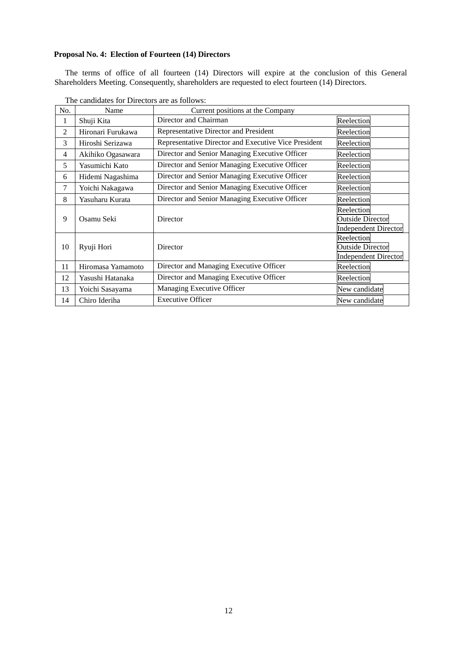## **Proposal No. 4: Election of Fourteen (14) Directors**

The terms of office of all fourteen (14) Directors will expire at the conclusion of this General Shareholders Meeting. Consequently, shareholders are requested to elect fourteen (14) Directors.

| No.            | Name                                      | Current positions at the Company                     |                                                                      |  |
|----------------|-------------------------------------------|------------------------------------------------------|----------------------------------------------------------------------|--|
| 1              | Shuji Kita                                | Director and Chairman                                | Reelection                                                           |  |
| 2              | Hironari Furukawa                         | Representative Director and President                | Reelection                                                           |  |
| 3              | Hiroshi Serizawa                          | Representative Director and Executive Vice President | Reelection                                                           |  |
| $\overline{4}$ | Akihiko Ogasawara                         | Director and Senior Managing Executive Officer       | Reelection                                                           |  |
| 5              | Yasumichi Kato                            | Director and Senior Managing Executive Officer       | Reelection                                                           |  |
| 6              | Hidemi Nagashima                          | Director and Senior Managing Executive Officer       | Reelection                                                           |  |
| 7              | Yoichi Nakagawa                           | Director and Senior Managing Executive Officer       | Reelection                                                           |  |
| 8              | Yasuharu Kurata                           | Director and Senior Managing Executive Officer       | Reelection                                                           |  |
| 9              | Osamu Seki                                | Director                                             | Reelection<br><b>Outside Director</b><br><b>Independent Director</b> |  |
| 10             | Ryuji Hori                                | Director                                             | Reelection<br><b>Outside Director</b><br><b>Independent Director</b> |  |
| 11             | Hiromasa Yamamoto                         | Director and Managing Executive Officer              | Reelection                                                           |  |
| 12             | Yasushi Hatanaka                          | Director and Managing Executive Officer              | Reelection                                                           |  |
| 13             | Yoichi Sasayama                           | Managing Executive Officer                           | New candidate                                                        |  |
| 14             | <b>Executive Officer</b><br>Chiro Ideriha |                                                      | New candidate                                                        |  |

The candidates for Directors are as follows: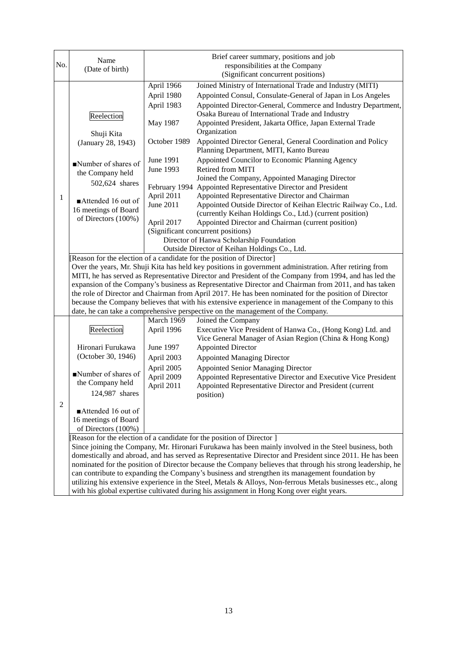|                                                                                                                                                                                                                                                                                                                         | Name                                                                                                                                                                                                                                                                                                       |                                                                                                                       | Brief career summary, positions and job                                                                    |  |
|-------------------------------------------------------------------------------------------------------------------------------------------------------------------------------------------------------------------------------------------------------------------------------------------------------------------------|------------------------------------------------------------------------------------------------------------------------------------------------------------------------------------------------------------------------------------------------------------------------------------------------------------|-----------------------------------------------------------------------------------------------------------------------|------------------------------------------------------------------------------------------------------------|--|
| No.                                                                                                                                                                                                                                                                                                                     | (Date of birth)                                                                                                                                                                                                                                                                                            |                                                                                                                       | responsibilities at the Company                                                                            |  |
|                                                                                                                                                                                                                                                                                                                         |                                                                                                                                                                                                                                                                                                            |                                                                                                                       | (Significant concurrent positions)                                                                         |  |
|                                                                                                                                                                                                                                                                                                                         |                                                                                                                                                                                                                                                                                                            | April 1966                                                                                                            | Joined Ministry of International Trade and Industry (MITI)                                                 |  |
|                                                                                                                                                                                                                                                                                                                         |                                                                                                                                                                                                                                                                                                            | April 1980                                                                                                            | Appointed Consul, Consulate-General of Japan in Los Angeles                                                |  |
|                                                                                                                                                                                                                                                                                                                         |                                                                                                                                                                                                                                                                                                            | April 1983                                                                                                            | Appointed Director-General, Commerce and Industry Department,                                              |  |
|                                                                                                                                                                                                                                                                                                                         | Reelection                                                                                                                                                                                                                                                                                                 |                                                                                                                       | Osaka Bureau of International Trade and Industry                                                           |  |
|                                                                                                                                                                                                                                                                                                                         |                                                                                                                                                                                                                                                                                                            | May 1987                                                                                                              | Appointed President, Jakarta Office, Japan External Trade                                                  |  |
|                                                                                                                                                                                                                                                                                                                         | Shuji Kita                                                                                                                                                                                                                                                                                                 |                                                                                                                       | Organization                                                                                               |  |
|                                                                                                                                                                                                                                                                                                                         | (January 28, 1943)                                                                                                                                                                                                                                                                                         | October 1989                                                                                                          | Appointed Director General, General Coordination and Policy                                                |  |
|                                                                                                                                                                                                                                                                                                                         |                                                                                                                                                                                                                                                                                                            |                                                                                                                       | Planning Department, MITI, Kanto Bureau                                                                    |  |
|                                                                                                                                                                                                                                                                                                                         | Number of shares of                                                                                                                                                                                                                                                                                        | June 1991                                                                                                             | Appointed Councilor to Economic Planning Agency                                                            |  |
|                                                                                                                                                                                                                                                                                                                         | the Company held                                                                                                                                                                                                                                                                                           | June 1993                                                                                                             | Retired from MITI                                                                                          |  |
|                                                                                                                                                                                                                                                                                                                         | 502,624 shares                                                                                                                                                                                                                                                                                             |                                                                                                                       | Joined the Company, Appointed Managing Director                                                            |  |
|                                                                                                                                                                                                                                                                                                                         |                                                                                                                                                                                                                                                                                                            | February 1994                                                                                                         | Appointed Representative Director and President                                                            |  |
| 1                                                                                                                                                                                                                                                                                                                       | Attended 16 out of                                                                                                                                                                                                                                                                                         | April 2011                                                                                                            | Appointed Representative Director and Chairman                                                             |  |
|                                                                                                                                                                                                                                                                                                                         | 16 meetings of Board                                                                                                                                                                                                                                                                                       | June 2011                                                                                                             | Appointed Outside Director of Keihan Electric Railway Co., Ltd.                                            |  |
|                                                                                                                                                                                                                                                                                                                         | of Directors (100%)                                                                                                                                                                                                                                                                                        |                                                                                                                       | (currently Keihan Holdings Co., Ltd.) (current position)                                                   |  |
|                                                                                                                                                                                                                                                                                                                         |                                                                                                                                                                                                                                                                                                            | April 2017                                                                                                            | Appointed Director and Chairman (current position)                                                         |  |
|                                                                                                                                                                                                                                                                                                                         |                                                                                                                                                                                                                                                                                                            | (Significant concurrent positions)<br>Director of Hanwa Scholarship Foundation                                        |                                                                                                            |  |
|                                                                                                                                                                                                                                                                                                                         |                                                                                                                                                                                                                                                                                                            |                                                                                                                       |                                                                                                            |  |
|                                                                                                                                                                                                                                                                                                                         |                                                                                                                                                                                                                                                                                                            | Outside Director of Keihan Holdings Co., Ltd.<br>Reason for the election of a candidate for the position of Director] |                                                                                                            |  |
|                                                                                                                                                                                                                                                                                                                         |                                                                                                                                                                                                                                                                                                            |                                                                                                                       | Over the years, Mr. Shuji Kita has held key positions in government administration. After retiring from    |  |
| MITI, he has served as Representative Director and President of the Company from 1994, and has led the<br>expansion of the Company's business as Representative Director and Chairman from 2011, and has taken<br>the role of Director and Chairman from April 2017. He has been nominated for the position of Director |                                                                                                                                                                                                                                                                                                            |                                                                                                                       |                                                                                                            |  |
|                                                                                                                                                                                                                                                                                                                         |                                                                                                                                                                                                                                                                                                            |                                                                                                                       |                                                                                                            |  |
|                                                                                                                                                                                                                                                                                                                         |                                                                                                                                                                                                                                                                                                            |                                                                                                                       |                                                                                                            |  |
|                                                                                                                                                                                                                                                                                                                         |                                                                                                                                                                                                                                                                                                            |                                                                                                                       | because the Company believes that with his extensive experience in management of the Company to this       |  |
|                                                                                                                                                                                                                                                                                                                         |                                                                                                                                                                                                                                                                                                            |                                                                                                                       | date, he can take a comprehensive perspective on the management of the Company.                            |  |
|                                                                                                                                                                                                                                                                                                                         |                                                                                                                                                                                                                                                                                                            | March 1969                                                                                                            | Joined the Company                                                                                         |  |
|                                                                                                                                                                                                                                                                                                                         | Reelection                                                                                                                                                                                                                                                                                                 | April 1996                                                                                                            | Executive Vice President of Hanwa Co., (Hong Kong) Ltd. and                                                |  |
|                                                                                                                                                                                                                                                                                                                         |                                                                                                                                                                                                                                                                                                            |                                                                                                                       | Vice General Manager of Asian Region (China & Hong Kong)                                                   |  |
|                                                                                                                                                                                                                                                                                                                         | Hironari Furukawa                                                                                                                                                                                                                                                                                          | June 1997                                                                                                             | <b>Appointed Director</b>                                                                                  |  |
|                                                                                                                                                                                                                                                                                                                         | (October 30, 1946)                                                                                                                                                                                                                                                                                         | April 2003                                                                                                            | <b>Appointed Managing Director</b>                                                                         |  |
|                                                                                                                                                                                                                                                                                                                         |                                                                                                                                                                                                                                                                                                            | April 2005                                                                                                            | <b>Appointed Senior Managing Director</b>                                                                  |  |
|                                                                                                                                                                                                                                                                                                                         | Number of shares of                                                                                                                                                                                                                                                                                        | April 2009                                                                                                            | Appointed Representative Director and Executive Vice President                                             |  |
|                                                                                                                                                                                                                                                                                                                         | the Company held                                                                                                                                                                                                                                                                                           | April 2011                                                                                                            | Appointed Representative Director and President (current                                                   |  |
|                                                                                                                                                                                                                                                                                                                         | 124,987 shares                                                                                                                                                                                                                                                                                             |                                                                                                                       | position)                                                                                                  |  |
| $\overline{2}$                                                                                                                                                                                                                                                                                                          | Attended 16 out of                                                                                                                                                                                                                                                                                         |                                                                                                                       |                                                                                                            |  |
|                                                                                                                                                                                                                                                                                                                         | 16 meetings of Board                                                                                                                                                                                                                                                                                       |                                                                                                                       |                                                                                                            |  |
|                                                                                                                                                                                                                                                                                                                         | of Directors (100%)                                                                                                                                                                                                                                                                                        |                                                                                                                       |                                                                                                            |  |
|                                                                                                                                                                                                                                                                                                                         |                                                                                                                                                                                                                                                                                                            |                                                                                                                       | Reason for the election of a candidate for the position of Director ]                                      |  |
|                                                                                                                                                                                                                                                                                                                         |                                                                                                                                                                                                                                                                                                            |                                                                                                                       | Since joining the Company, Mr. Hironari Furukawa has been mainly involved in the Steel business, both      |  |
|                                                                                                                                                                                                                                                                                                                         |                                                                                                                                                                                                                                                                                                            |                                                                                                                       | domestically and abroad, and has served as Representative Director and President since 2011. He has been   |  |
|                                                                                                                                                                                                                                                                                                                         |                                                                                                                                                                                                                                                                                                            |                                                                                                                       | nominated for the position of Director because the Company believes that through his strong leadership, he |  |
|                                                                                                                                                                                                                                                                                                                         | can contribute to expanding the Company's business and strengthen its management foundation by<br>utilizing his extensive experience in the Steel, Metals & Alloys, Non-ferrous Metals businesses etc., along<br>with his global expertise cultivated during his assignment in Hong Kong over eight years. |                                                                                                                       |                                                                                                            |  |
|                                                                                                                                                                                                                                                                                                                         |                                                                                                                                                                                                                                                                                                            |                                                                                                                       |                                                                                                            |  |
|                                                                                                                                                                                                                                                                                                                         |                                                                                                                                                                                                                                                                                                            |                                                                                                                       |                                                                                                            |  |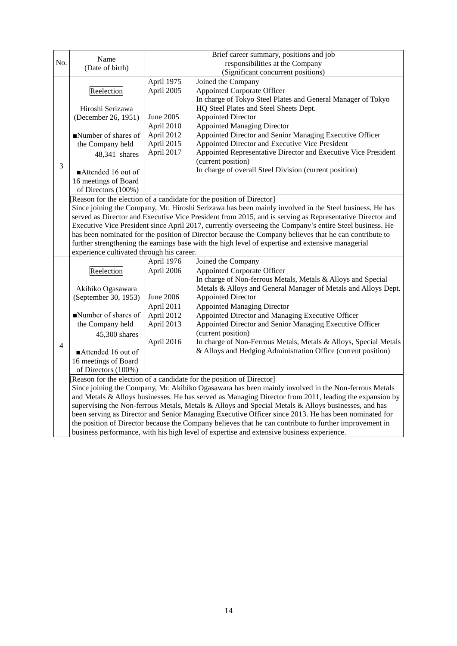|                | Name                                                                                                   |                                                                       | Brief career summary, positions and job                                                                  |  |  |  |
|----------------|--------------------------------------------------------------------------------------------------------|-----------------------------------------------------------------------|----------------------------------------------------------------------------------------------------------|--|--|--|
| No.            | (Date of birth)                                                                                        |                                                                       | responsibilities at the Company                                                                          |  |  |  |
|                |                                                                                                        |                                                                       | (Significant concurrent positions)                                                                       |  |  |  |
|                |                                                                                                        | April 1975                                                            | Joined the Company                                                                                       |  |  |  |
|                | Reelection                                                                                             | April 2005                                                            | <b>Appointed Corporate Officer</b>                                                                       |  |  |  |
|                |                                                                                                        |                                                                       | In charge of Tokyo Steel Plates and General Manager of Tokyo                                             |  |  |  |
|                | Hiroshi Serizawa                                                                                       |                                                                       | HQ Steel Plates and Steel Sheets Dept.                                                                   |  |  |  |
|                | (December 26, 1951)                                                                                    | June 2005                                                             | <b>Appointed Director</b>                                                                                |  |  |  |
|                |                                                                                                        | April 2010                                                            | <b>Appointed Managing Director</b>                                                                       |  |  |  |
|                | Number of shares of                                                                                    | April 2012                                                            | Appointed Director and Senior Managing Executive Officer                                                 |  |  |  |
|                | the Company held                                                                                       | April 2015                                                            | Appointed Director and Executive Vice President                                                          |  |  |  |
|                | 48,341 shares                                                                                          | April 2017                                                            | Appointed Representative Director and Executive Vice President                                           |  |  |  |
| 3              |                                                                                                        |                                                                       | (current position)                                                                                       |  |  |  |
|                | Attended 16 out of                                                                                     |                                                                       | In charge of overall Steel Division (current position)                                                   |  |  |  |
|                | 16 meetings of Board                                                                                   |                                                                       |                                                                                                          |  |  |  |
|                | of Directors (100%)                                                                                    |                                                                       |                                                                                                          |  |  |  |
|                |                                                                                                        |                                                                       | [Reason for the election of a candidate for the position of Director]                                    |  |  |  |
|                |                                                                                                        |                                                                       | Since joining the Company, Mr. Hiroshi Serizawa has been mainly involved in the Steel business. He has   |  |  |  |
|                |                                                                                                        |                                                                       | served as Director and Executive Vice President from 2015, and is serving as Representative Director and |  |  |  |
|                |                                                                                                        |                                                                       | Executive Vice President since April 2017, currently overseeing the Company's entire Steel business. He  |  |  |  |
|                |                                                                                                        |                                                                       | has been nominated for the position of Director because the Company believes that he can contribute to   |  |  |  |
|                | further strengthening the earnings base with the high level of expertise and extensive managerial      |                                                                       |                                                                                                          |  |  |  |
|                | experience cultivated through his career.                                                              |                                                                       |                                                                                                          |  |  |  |
|                |                                                                                                        | April 1976                                                            | Joined the Company                                                                                       |  |  |  |
|                | Reelection                                                                                             | April 2006                                                            | <b>Appointed Corporate Officer</b>                                                                       |  |  |  |
|                |                                                                                                        |                                                                       | In charge of Non-ferrous Metals, Metals & Alloys and Special                                             |  |  |  |
|                | Akihiko Ogasawara                                                                                      |                                                                       | Metals & Alloys and General Manager of Metals and Alloys Dept.                                           |  |  |  |
|                | (September 30, 1953)                                                                                   | <b>June 2006</b>                                                      | <b>Appointed Director</b>                                                                                |  |  |  |
|                |                                                                                                        | April 2011                                                            | <b>Appointed Managing Director</b>                                                                       |  |  |  |
|                | Number of shares of                                                                                    | April 2012                                                            | Appointed Director and Managing Executive Officer                                                        |  |  |  |
|                | the Company held                                                                                       | April 2013                                                            | Appointed Director and Senior Managing Executive Officer                                                 |  |  |  |
|                | 45,300 shares                                                                                          |                                                                       | (current position)                                                                                       |  |  |  |
| $\overline{4}$ |                                                                                                        | April 2016                                                            | In charge of Non-Ferrous Metals, Metals & Alloys, Special Metals                                         |  |  |  |
|                | Attended 16 out of                                                                                     |                                                                       | & Alloys and Hedging Administration Office (current position)                                            |  |  |  |
|                | 16 meetings of Board                                                                                   |                                                                       |                                                                                                          |  |  |  |
|                | of Directors (100%)                                                                                    |                                                                       |                                                                                                          |  |  |  |
|                |                                                                                                        | [Reason for the election of a candidate for the position of Director] |                                                                                                          |  |  |  |
|                | Since joining the Company, Mr. Akihiko Ogasawara has been mainly involved in the Non-ferrous Metals    |                                                                       |                                                                                                          |  |  |  |
|                | and Metals & Alloys businesses. He has served as Managing Director from 2011, leading the expansion by |                                                                       |                                                                                                          |  |  |  |
|                | supervising the Non-ferrous Metals, Metals & Alloys and Special Metals & Alloys businesses, and has    |                                                                       |                                                                                                          |  |  |  |
|                | been serving as Director and Senior Managing Executive Officer since 2013. He has been nominated for   |                                                                       |                                                                                                          |  |  |  |
|                | the position of Director because the Company believes that he can contribute to further improvement in |                                                                       |                                                                                                          |  |  |  |
|                | business performance, with his high level of expertise and extensive business experience.              |                                                                       |                                                                                                          |  |  |  |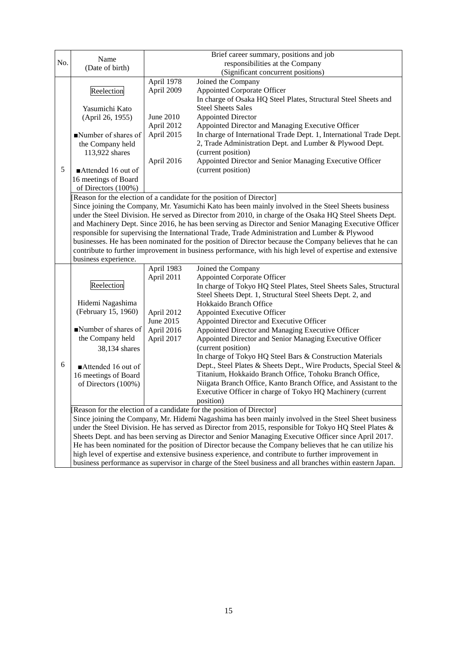|                                                                                                           |                                                                                                           |                                                                                                         | Brief career summary, positions and job                                                                 |  |  |
|-----------------------------------------------------------------------------------------------------------|-----------------------------------------------------------------------------------------------------------|---------------------------------------------------------------------------------------------------------|---------------------------------------------------------------------------------------------------------|--|--|
| No.                                                                                                       | Name<br>(Date of birth)                                                                                   |                                                                                                         | responsibilities at the Company                                                                         |  |  |
|                                                                                                           |                                                                                                           |                                                                                                         | (Significant concurrent positions)                                                                      |  |  |
|                                                                                                           |                                                                                                           | April 1978                                                                                              | Joined the Company                                                                                      |  |  |
|                                                                                                           | Reelection                                                                                                | April 2009                                                                                              | <b>Appointed Corporate Officer</b>                                                                      |  |  |
|                                                                                                           |                                                                                                           |                                                                                                         | In charge of Osaka HQ Steel Plates, Structural Steel Sheets and                                         |  |  |
|                                                                                                           | Yasumichi Kato                                                                                            |                                                                                                         | <b>Steel Sheets Sales</b>                                                                               |  |  |
|                                                                                                           | (April 26, 1955)                                                                                          | June 2010                                                                                               | <b>Appointed Director</b>                                                                               |  |  |
|                                                                                                           |                                                                                                           | April 2012                                                                                              | Appointed Director and Managing Executive Officer                                                       |  |  |
|                                                                                                           | Number of shares of                                                                                       | April 2015                                                                                              | In charge of International Trade Dept. 1, International Trade Dept.                                     |  |  |
|                                                                                                           | the Company held                                                                                          |                                                                                                         | 2, Trade Administration Dept. and Lumber & Plywood Dept.                                                |  |  |
|                                                                                                           | 113,922 shares                                                                                            |                                                                                                         | (current position)                                                                                      |  |  |
|                                                                                                           |                                                                                                           | April 2016                                                                                              | Appointed Director and Senior Managing Executive Officer                                                |  |  |
| 5                                                                                                         | Attended 16 out of                                                                                        |                                                                                                         | (current position)                                                                                      |  |  |
|                                                                                                           | 16 meetings of Board                                                                                      |                                                                                                         |                                                                                                         |  |  |
|                                                                                                           | of Directors (100%)                                                                                       |                                                                                                         |                                                                                                         |  |  |
|                                                                                                           |                                                                                                           |                                                                                                         | [Reason for the election of a candidate for the position of Director]                                   |  |  |
|                                                                                                           |                                                                                                           |                                                                                                         | Since joining the Company, Mr. Yasumichi Kato has been mainly involved in the Steel Sheets business     |  |  |
|                                                                                                           |                                                                                                           |                                                                                                         | under the Steel Division. He served as Director from 2010, in charge of the Osaka HQ Steel Sheets Dept. |  |  |
|                                                                                                           |                                                                                                           |                                                                                                         | and Machinery Dept. Since 2016, he has been serving as Director and Senior Managing Executive Officer   |  |  |
|                                                                                                           |                                                                                                           |                                                                                                         | responsible for supervising the International Trade, Trade Administration and Lumber & Plywood          |  |  |
|                                                                                                           |                                                                                                           |                                                                                                         | businesses. He has been nominated for the position of Director because the Company believes that he can |  |  |
| contribute to further improvement in business performance, with his high level of expertise and extensive |                                                                                                           |                                                                                                         |                                                                                                         |  |  |
|                                                                                                           | business experience.                                                                                      |                                                                                                         |                                                                                                         |  |  |
|                                                                                                           |                                                                                                           | April 1983<br>April 2011                                                                                | Joined the Company<br><b>Appointed Corporate Officer</b>                                                |  |  |
|                                                                                                           | Reelection                                                                                                |                                                                                                         | In charge of Tokyo HQ Steel Plates, Steel Sheets Sales, Structural                                      |  |  |
|                                                                                                           |                                                                                                           |                                                                                                         | Steel Sheets Dept. 1, Structural Steel Sheets Dept. 2, and                                              |  |  |
|                                                                                                           | Hidemi Nagashima                                                                                          |                                                                                                         | Hokkaido Branch Office                                                                                  |  |  |
|                                                                                                           | (February 15, 1960)                                                                                       | April 2012                                                                                              | Appointed Executive Officer                                                                             |  |  |
|                                                                                                           |                                                                                                           | June 2015                                                                                               | Appointed Director and Executive Officer                                                                |  |  |
|                                                                                                           | Number of shares of                                                                                       | April 2016                                                                                              | Appointed Director and Managing Executive Officer                                                       |  |  |
|                                                                                                           | the Company held                                                                                          | April 2017                                                                                              | Appointed Director and Senior Managing Executive Officer                                                |  |  |
|                                                                                                           | 38,134 shares                                                                                             |                                                                                                         | (current position)                                                                                      |  |  |
|                                                                                                           |                                                                                                           |                                                                                                         | In charge of Tokyo HQ Steel Bars & Construction Materials                                               |  |  |
| 6                                                                                                         | Attended 16 out of                                                                                        |                                                                                                         | Dept., Steel Plates & Sheets Dept., Wire Products, Special Steel &                                      |  |  |
|                                                                                                           | 16 meetings of Board                                                                                      |                                                                                                         | Titanium, Hokkaido Branch Office, Tohoku Branch Office,                                                 |  |  |
|                                                                                                           | of Directors (100%)                                                                                       |                                                                                                         | Niigata Branch Office, Kanto Branch Office, and Assistant to the                                        |  |  |
|                                                                                                           |                                                                                                           |                                                                                                         | Executive Officer in charge of Tokyo HQ Machinery (current                                              |  |  |
|                                                                                                           |                                                                                                           |                                                                                                         | position)                                                                                               |  |  |
|                                                                                                           |                                                                                                           | [Reason for the election of a candidate for the position of Director]                                   |                                                                                                         |  |  |
|                                                                                                           | Since joining the Company, Mr. Hidemi Nagashima has been mainly involved in the Steel Sheet business      |                                                                                                         |                                                                                                         |  |  |
|                                                                                                           | under the Steel Division. He has served as Director from 2015, responsible for Tokyo HQ Steel Plates &    |                                                                                                         |                                                                                                         |  |  |
|                                                                                                           |                                                                                                           |                                                                                                         | Sheets Dept. and has been serving as Director and Senior Managing Executive Officer since April 2017.   |  |  |
|                                                                                                           |                                                                                                           | He has been nominated for the position of Director because the Company believes that he can utilize his |                                                                                                         |  |  |
|                                                                                                           |                                                                                                           |                                                                                                         | high level of expertise and extensive business experience, and contribute to further improvement in     |  |  |
|                                                                                                           | business performance as supervisor in charge of the Steel business and all branches within eastern Japan. |                                                                                                         |                                                                                                         |  |  |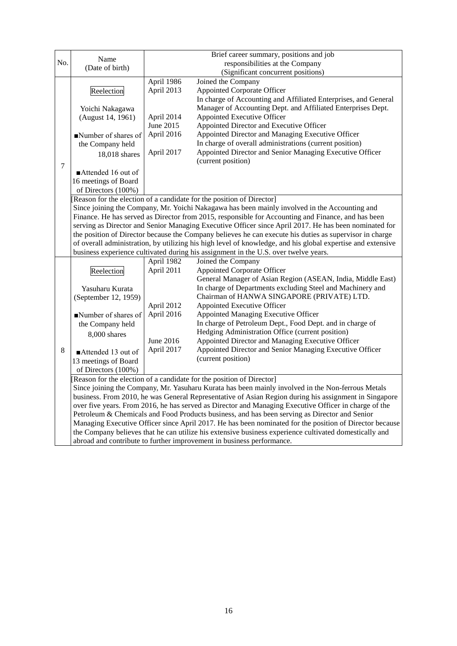|                                                                                                        | Name                                                                                                        |                                                                                                       | Brief career summary, positions and job                                                                      |  |  |  |
|--------------------------------------------------------------------------------------------------------|-------------------------------------------------------------------------------------------------------------|-------------------------------------------------------------------------------------------------------|--------------------------------------------------------------------------------------------------------------|--|--|--|
| No.                                                                                                    | (Date of birth)                                                                                             |                                                                                                       | responsibilities at the Company                                                                              |  |  |  |
|                                                                                                        |                                                                                                             |                                                                                                       | (Significant concurrent positions)                                                                           |  |  |  |
|                                                                                                        |                                                                                                             | April 1986                                                                                            | Joined the Company                                                                                           |  |  |  |
|                                                                                                        | Reelection                                                                                                  | April 2013                                                                                            | <b>Appointed Corporate Officer</b>                                                                           |  |  |  |
|                                                                                                        |                                                                                                             |                                                                                                       | In charge of Accounting and Affiliated Enterprises, and General                                              |  |  |  |
|                                                                                                        | Yoichi Nakagawa                                                                                             |                                                                                                       | Manager of Accounting Dept. and Affiliated Enterprises Dept.                                                 |  |  |  |
|                                                                                                        | (August 14, 1961)                                                                                           | April 2014<br>June 2015                                                                               | <b>Appointed Executive Officer</b>                                                                           |  |  |  |
|                                                                                                        |                                                                                                             | April 2016                                                                                            | Appointed Director and Executive Officer                                                                     |  |  |  |
|                                                                                                        | Number of shares of                                                                                         |                                                                                                       | Appointed Director and Managing Executive Officer<br>In charge of overall administrations (current position) |  |  |  |
|                                                                                                        | the Company held                                                                                            | April 2017                                                                                            | Appointed Director and Senior Managing Executive Officer                                                     |  |  |  |
| 7                                                                                                      | 18,018 shares                                                                                               |                                                                                                       | (current position)                                                                                           |  |  |  |
|                                                                                                        | Attended 16 out of                                                                                          |                                                                                                       |                                                                                                              |  |  |  |
|                                                                                                        | 16 meetings of Board                                                                                        |                                                                                                       |                                                                                                              |  |  |  |
|                                                                                                        | of Directors (100%)                                                                                         |                                                                                                       |                                                                                                              |  |  |  |
|                                                                                                        |                                                                                                             |                                                                                                       | Reason for the election of a candidate for the position of Director]                                         |  |  |  |
|                                                                                                        |                                                                                                             |                                                                                                       | Since joining the Company, Mr. Yoichi Nakagawa has been mainly involved in the Accounting and                |  |  |  |
|                                                                                                        |                                                                                                             |                                                                                                       | Finance. He has served as Director from 2015, responsible for Accounting and Finance, and has been           |  |  |  |
|                                                                                                        |                                                                                                             |                                                                                                       | serving as Director and Senior Managing Executive Officer since April 2017. He has been nominated for        |  |  |  |
|                                                                                                        |                                                                                                             |                                                                                                       | the position of Director because the Company believes he can execute his duties as supervisor in charge      |  |  |  |
|                                                                                                        | of overall administration, by utilizing his high level of knowledge, and his global expertise and extensive |                                                                                                       |                                                                                                              |  |  |  |
|                                                                                                        |                                                                                                             |                                                                                                       | business experience cultivated during his assignment in the U.S. over twelve years.                          |  |  |  |
|                                                                                                        |                                                                                                             | April 1982                                                                                            | Joined the Company                                                                                           |  |  |  |
|                                                                                                        | Reelection                                                                                                  | April 2011                                                                                            | <b>Appointed Corporate Officer</b>                                                                           |  |  |  |
|                                                                                                        |                                                                                                             |                                                                                                       | General Manager of Asian Region (ASEAN, India, Middle East)                                                  |  |  |  |
|                                                                                                        | Yasuharu Kurata                                                                                             |                                                                                                       | In charge of Departments excluding Steel and Machinery and                                                   |  |  |  |
|                                                                                                        | (September 12, 1959)                                                                                        |                                                                                                       | Chairman of HANWA SINGAPORE (PRIVATE) LTD.                                                                   |  |  |  |
|                                                                                                        |                                                                                                             | April 2012                                                                                            | <b>Appointed Executive Officer</b>                                                                           |  |  |  |
|                                                                                                        | Number of shares of                                                                                         | April 2016                                                                                            | Appointed Managing Executive Officer                                                                         |  |  |  |
|                                                                                                        | the Company held                                                                                            |                                                                                                       | In charge of Petroleum Dept., Food Dept. and in charge of                                                    |  |  |  |
|                                                                                                        | 8,000 shares                                                                                                | June 2016                                                                                             | Hedging Administration Office (current position)                                                             |  |  |  |
|                                                                                                        |                                                                                                             |                                                                                                       | Appointed Director and Managing Executive Officer                                                            |  |  |  |
| 8                                                                                                      | Attended 13 out of                                                                                          | April 2017                                                                                            | Appointed Director and Senior Managing Executive Officer                                                     |  |  |  |
|                                                                                                        | 13 meetings of Board                                                                                        |                                                                                                       | (current position)                                                                                           |  |  |  |
|                                                                                                        | of Directors (100%)                                                                                         |                                                                                                       |                                                                                                              |  |  |  |
|                                                                                                        | Reason for the election of a candidate for the position of Director]                                        |                                                                                                       |                                                                                                              |  |  |  |
|                                                                                                        |                                                                                                             | Since joining the Company, Mr. Yasuharu Kurata has been mainly involved in the Non-ferrous Metals     |                                                                                                              |  |  |  |
|                                                                                                        |                                                                                                             | business. From 2010, he was General Representative of Asian Region during his assignment in Singapore |                                                                                                              |  |  |  |
|                                                                                                        |                                                                                                             |                                                                                                       | over five years. From 2016, he has served as Director and Managing Executive Officer in charge of the        |  |  |  |
|                                                                                                        |                                                                                                             |                                                                                                       | Petroleum & Chemicals and Food Products business, and has been serving as Director and Senior                |  |  |  |
|                                                                                                        | Managing Executive Officer since April 2017. He has been nominated for the position of Director because     |                                                                                                       |                                                                                                              |  |  |  |
| the Company believes that he can utilize his extensive business experience cultivated domestically and |                                                                                                             |                                                                                                       |                                                                                                              |  |  |  |
|                                                                                                        | abroad and contribute to further improvement in business performance.                                       |                                                                                                       |                                                                                                              |  |  |  |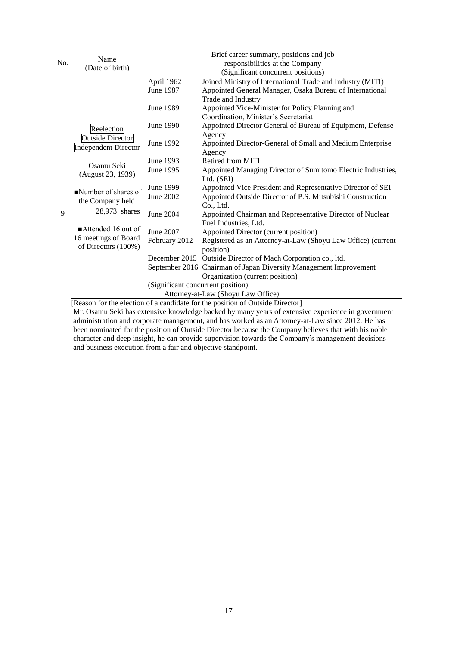| Name<br>No.<br>responsibilities at the Company<br>(Date of birth)<br>(Significant concurrent positions)<br>Joined Ministry of International Trade and Industry (MITI)<br>April 1962<br>June 1987<br>Appointed General Manager, Osaka Bureau of International<br>Trade and Industry<br>Appointed Vice-Minister for Policy Planning and<br><b>June 1989</b><br>Coordination, Minister's Secretariat<br>Appointed Director General of Bureau of Equipment, Defense<br>June 1990<br>Reelection<br>Agency<br><b>Outside Director</b><br>June 1992<br>Appointed Director-General of Small and Medium Enterprise<br><b>Independent Director</b><br>Agency<br>Retired from MITI<br>June 1993<br>Osamu Seki<br>June 1995<br>Appointed Managing Director of Sumitomo Electric Industries,<br>(August 23, 1939)<br>Ltd. (SEI)<br>Appointed Vice President and Representative Director of SEI<br>June 1999<br>Number of shares of<br>June 2002<br>Appointed Outside Director of P.S. Mitsubishi Construction<br>the Company held<br>Co., Ltd.<br>28,973 shares<br>9<br>June 2004<br>Appointed Chairman and Representative Director of Nuclear<br>Fuel Industries, Ltd. |  |                                             |  |  | Brief career summary, positions and job                      |  |
|------------------------------------------------------------------------------------------------------------------------------------------------------------------------------------------------------------------------------------------------------------------------------------------------------------------------------------------------------------------------------------------------------------------------------------------------------------------------------------------------------------------------------------------------------------------------------------------------------------------------------------------------------------------------------------------------------------------------------------------------------------------------------------------------------------------------------------------------------------------------------------------------------------------------------------------------------------------------------------------------------------------------------------------------------------------------------------------------------------------------------------------------------------|--|---------------------------------------------|--|--|--------------------------------------------------------------|--|
|                                                                                                                                                                                                                                                                                                                                                                                                                                                                                                                                                                                                                                                                                                                                                                                                                                                                                                                                                                                                                                                                                                                                                            |  |                                             |  |  |                                                              |  |
|                                                                                                                                                                                                                                                                                                                                                                                                                                                                                                                                                                                                                                                                                                                                                                                                                                                                                                                                                                                                                                                                                                                                                            |  |                                             |  |  |                                                              |  |
|                                                                                                                                                                                                                                                                                                                                                                                                                                                                                                                                                                                                                                                                                                                                                                                                                                                                                                                                                                                                                                                                                                                                                            |  |                                             |  |  |                                                              |  |
|                                                                                                                                                                                                                                                                                                                                                                                                                                                                                                                                                                                                                                                                                                                                                                                                                                                                                                                                                                                                                                                                                                                                                            |  |                                             |  |  |                                                              |  |
|                                                                                                                                                                                                                                                                                                                                                                                                                                                                                                                                                                                                                                                                                                                                                                                                                                                                                                                                                                                                                                                                                                                                                            |  |                                             |  |  |                                                              |  |
|                                                                                                                                                                                                                                                                                                                                                                                                                                                                                                                                                                                                                                                                                                                                                                                                                                                                                                                                                                                                                                                                                                                                                            |  |                                             |  |  |                                                              |  |
|                                                                                                                                                                                                                                                                                                                                                                                                                                                                                                                                                                                                                                                                                                                                                                                                                                                                                                                                                                                                                                                                                                                                                            |  |                                             |  |  |                                                              |  |
|                                                                                                                                                                                                                                                                                                                                                                                                                                                                                                                                                                                                                                                                                                                                                                                                                                                                                                                                                                                                                                                                                                                                                            |  |                                             |  |  |                                                              |  |
|                                                                                                                                                                                                                                                                                                                                                                                                                                                                                                                                                                                                                                                                                                                                                                                                                                                                                                                                                                                                                                                                                                                                                            |  |                                             |  |  |                                                              |  |
|                                                                                                                                                                                                                                                                                                                                                                                                                                                                                                                                                                                                                                                                                                                                                                                                                                                                                                                                                                                                                                                                                                                                                            |  |                                             |  |  |                                                              |  |
|                                                                                                                                                                                                                                                                                                                                                                                                                                                                                                                                                                                                                                                                                                                                                                                                                                                                                                                                                                                                                                                                                                                                                            |  |                                             |  |  |                                                              |  |
|                                                                                                                                                                                                                                                                                                                                                                                                                                                                                                                                                                                                                                                                                                                                                                                                                                                                                                                                                                                                                                                                                                                                                            |  |                                             |  |  |                                                              |  |
|                                                                                                                                                                                                                                                                                                                                                                                                                                                                                                                                                                                                                                                                                                                                                                                                                                                                                                                                                                                                                                                                                                                                                            |  |                                             |  |  |                                                              |  |
|                                                                                                                                                                                                                                                                                                                                                                                                                                                                                                                                                                                                                                                                                                                                                                                                                                                                                                                                                                                                                                                                                                                                                            |  |                                             |  |  |                                                              |  |
|                                                                                                                                                                                                                                                                                                                                                                                                                                                                                                                                                                                                                                                                                                                                                                                                                                                                                                                                                                                                                                                                                                                                                            |  |                                             |  |  |                                                              |  |
|                                                                                                                                                                                                                                                                                                                                                                                                                                                                                                                                                                                                                                                                                                                                                                                                                                                                                                                                                                                                                                                                                                                                                            |  |                                             |  |  |                                                              |  |
|                                                                                                                                                                                                                                                                                                                                                                                                                                                                                                                                                                                                                                                                                                                                                                                                                                                                                                                                                                                                                                                                                                                                                            |  |                                             |  |  |                                                              |  |
|                                                                                                                                                                                                                                                                                                                                                                                                                                                                                                                                                                                                                                                                                                                                                                                                                                                                                                                                                                                                                                                                                                                                                            |  |                                             |  |  |                                                              |  |
|                                                                                                                                                                                                                                                                                                                                                                                                                                                                                                                                                                                                                                                                                                                                                                                                                                                                                                                                                                                                                                                                                                                                                            |  |                                             |  |  |                                                              |  |
| June 2007<br>Appointed Director (current position)                                                                                                                                                                                                                                                                                                                                                                                                                                                                                                                                                                                                                                                                                                                                                                                                                                                                                                                                                                                                                                                                                                         |  | $\blacksquare$ Attended 16 out of           |  |  |                                                              |  |
| February 2012                                                                                                                                                                                                                                                                                                                                                                                                                                                                                                                                                                                                                                                                                                                                                                                                                                                                                                                                                                                                                                                                                                                                              |  | 16 meetings of Board<br>of Directors (100%) |  |  | Registered as an Attorney-at-Law (Shoyu Law Office) (current |  |
| position)                                                                                                                                                                                                                                                                                                                                                                                                                                                                                                                                                                                                                                                                                                                                                                                                                                                                                                                                                                                                                                                                                                                                                  |  |                                             |  |  |                                                              |  |
| December 2015 Outside Director of Mach Corporation co., ltd.                                                                                                                                                                                                                                                                                                                                                                                                                                                                                                                                                                                                                                                                                                                                                                                                                                                                                                                                                                                                                                                                                               |  |                                             |  |  |                                                              |  |
| September 2016 Chairman of Japan Diversity Management Improvement                                                                                                                                                                                                                                                                                                                                                                                                                                                                                                                                                                                                                                                                                                                                                                                                                                                                                                                                                                                                                                                                                          |  |                                             |  |  |                                                              |  |
| Organization (current position)                                                                                                                                                                                                                                                                                                                                                                                                                                                                                                                                                                                                                                                                                                                                                                                                                                                                                                                                                                                                                                                                                                                            |  |                                             |  |  |                                                              |  |
| (Significant concurrent position)                                                                                                                                                                                                                                                                                                                                                                                                                                                                                                                                                                                                                                                                                                                                                                                                                                                                                                                                                                                                                                                                                                                          |  |                                             |  |  |                                                              |  |
| Attorney-at-Law (Shoyu Law Office)                                                                                                                                                                                                                                                                                                                                                                                                                                                                                                                                                                                                                                                                                                                                                                                                                                                                                                                                                                                                                                                                                                                         |  |                                             |  |  |                                                              |  |
| [Reason for the election of a candidate for the position of Outside Director]                                                                                                                                                                                                                                                                                                                                                                                                                                                                                                                                                                                                                                                                                                                                                                                                                                                                                                                                                                                                                                                                              |  |                                             |  |  |                                                              |  |
| Mr. Osamu Seki has extensive knowledge backed by many years of extensive experience in government                                                                                                                                                                                                                                                                                                                                                                                                                                                                                                                                                                                                                                                                                                                                                                                                                                                                                                                                                                                                                                                          |  |                                             |  |  |                                                              |  |
| administration and corporate management, and has worked as an Attorney-at-Law since 2012. He has                                                                                                                                                                                                                                                                                                                                                                                                                                                                                                                                                                                                                                                                                                                                                                                                                                                                                                                                                                                                                                                           |  |                                             |  |  |                                                              |  |
| been nominated for the position of Outside Director because the Company believes that with his noble                                                                                                                                                                                                                                                                                                                                                                                                                                                                                                                                                                                                                                                                                                                                                                                                                                                                                                                                                                                                                                                       |  |                                             |  |  |                                                              |  |
| character and deep insight, he can provide supervision towards the Company's management decisions                                                                                                                                                                                                                                                                                                                                                                                                                                                                                                                                                                                                                                                                                                                                                                                                                                                                                                                                                                                                                                                          |  |                                             |  |  |                                                              |  |
| and business execution from a fair and objective standpoint.                                                                                                                                                                                                                                                                                                                                                                                                                                                                                                                                                                                                                                                                                                                                                                                                                                                                                                                                                                                                                                                                                               |  |                                             |  |  |                                                              |  |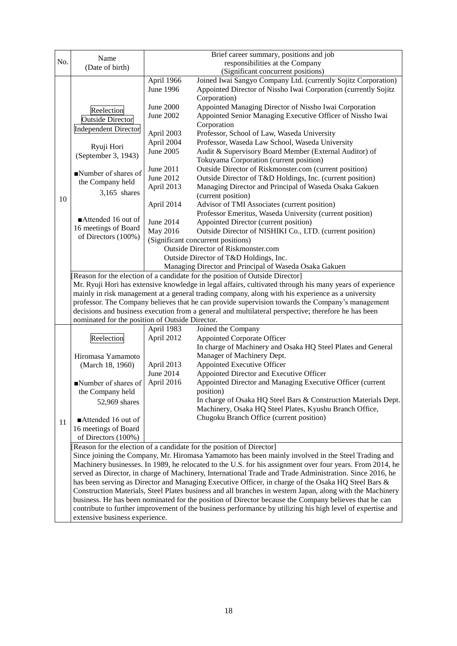|                                                                                                  |                                                                                                                                                                                                                       |                                                                                                       | Brief career summary, positions and job                                                                   |  |  |
|--------------------------------------------------------------------------------------------------|-----------------------------------------------------------------------------------------------------------------------------------------------------------------------------------------------------------------------|-------------------------------------------------------------------------------------------------------|-----------------------------------------------------------------------------------------------------------|--|--|
| No.                                                                                              | Name                                                                                                                                                                                                                  | responsibilities at the Company                                                                       |                                                                                                           |  |  |
|                                                                                                  | (Date of birth)                                                                                                                                                                                                       |                                                                                                       | (Significant concurrent positions)                                                                        |  |  |
|                                                                                                  |                                                                                                                                                                                                                       | April 1966                                                                                            | Joined Iwai Sangyo Company Ltd. (currently Sojitz Corporation)                                            |  |  |
|                                                                                                  |                                                                                                                                                                                                                       | June 1996                                                                                             | Appointed Director of Nissho Iwai Corporation (currently Sojitz                                           |  |  |
|                                                                                                  |                                                                                                                                                                                                                       |                                                                                                       | Corporation)                                                                                              |  |  |
|                                                                                                  | Reelection                                                                                                                                                                                                            | June 2000                                                                                             | Appointed Managing Director of Nissho Iwai Corporation                                                    |  |  |
|                                                                                                  | <b>Outside Director</b>                                                                                                                                                                                               | June 2002                                                                                             | Appointed Senior Managing Executive Officer of Nissho Iwai                                                |  |  |
|                                                                                                  | <b>Independent Director</b>                                                                                                                                                                                           |                                                                                                       | Corporation                                                                                               |  |  |
|                                                                                                  |                                                                                                                                                                                                                       | April 2003                                                                                            | Professor, School of Law, Waseda University                                                               |  |  |
|                                                                                                  | Ryuji Hori                                                                                                                                                                                                            | April 2004                                                                                            | Professor, Waseda Law School, Waseda University                                                           |  |  |
|                                                                                                  | (September 3, 1943)                                                                                                                                                                                                   | June 2005                                                                                             | Audit & Supervisory Board Member (External Auditor) of                                                    |  |  |
|                                                                                                  |                                                                                                                                                                                                                       |                                                                                                       | Tokuyama Corporation (current position)                                                                   |  |  |
|                                                                                                  | Number of shares of                                                                                                                                                                                                   | June 2011                                                                                             | Outside Director of Riskmonster.com (current position)                                                    |  |  |
|                                                                                                  | the Company held                                                                                                                                                                                                      | June 2012                                                                                             | Outside Director of T&D Holdings, Inc. (current position)                                                 |  |  |
|                                                                                                  | $3,165$ shares                                                                                                                                                                                                        | April 2013                                                                                            | Managing Director and Principal of Waseda Osaka Gakuen                                                    |  |  |
| 10                                                                                               |                                                                                                                                                                                                                       |                                                                                                       | (current position)                                                                                        |  |  |
|                                                                                                  |                                                                                                                                                                                                                       | April 2014                                                                                            | Advisor of TMI Associates (current position)                                                              |  |  |
|                                                                                                  | $\blacksquare$ Attended 16 out of                                                                                                                                                                                     |                                                                                                       | Professor Emeritus, Waseda University (current position)                                                  |  |  |
|                                                                                                  | 16 meetings of Board                                                                                                                                                                                                  | June 2014                                                                                             | Appointed Director (current position)<br>Outside Director of NISHIKI Co., LTD. (current position)         |  |  |
|                                                                                                  | of Directors (100%)                                                                                                                                                                                                   | May 2016                                                                                              | (Significant concurrent positions)                                                                        |  |  |
|                                                                                                  |                                                                                                                                                                                                                       |                                                                                                       | Outside Director of Riskmonster.com                                                                       |  |  |
|                                                                                                  |                                                                                                                                                                                                                       |                                                                                                       | Outside Director of T&D Holdings, Inc.                                                                    |  |  |
|                                                                                                  |                                                                                                                                                                                                                       |                                                                                                       | Managing Director and Principal of Waseda Osaka Gakuen                                                    |  |  |
|                                                                                                  | [Reason for the election of a candidate for the position of Outside Director]                                                                                                                                         |                                                                                                       |                                                                                                           |  |  |
|                                                                                                  | Mr. Ryuji Hori has extensive knowledge in legal affairs, cultivated through his many years of experience                                                                                                              |                                                                                                       |                                                                                                           |  |  |
|                                                                                                  | mainly in risk management at a general trading company, along with his experience as a university                                                                                                                     |                                                                                                       |                                                                                                           |  |  |
| professor. The Company believes that he can provide supervision towards the Company's management |                                                                                                                                                                                                                       |                                                                                                       |                                                                                                           |  |  |
|                                                                                                  |                                                                                                                                                                                                                       | decisions and business execution from a general and multilateral perspective; therefore he has been   |                                                                                                           |  |  |
|                                                                                                  | nominated for the position of Outside Director.                                                                                                                                                                       |                                                                                                       |                                                                                                           |  |  |
|                                                                                                  |                                                                                                                                                                                                                       | April 1983                                                                                            | Joined the Company                                                                                        |  |  |
|                                                                                                  | Reelection                                                                                                                                                                                                            | April 2012                                                                                            | Appointed Corporate Officer                                                                               |  |  |
|                                                                                                  |                                                                                                                                                                                                                       |                                                                                                       | In charge of Machinery and Osaka HQ Steel Plates and General                                              |  |  |
|                                                                                                  | Hiromasa Yamamoto                                                                                                                                                                                                     |                                                                                                       | Manager of Machinery Dept.                                                                                |  |  |
|                                                                                                  | (March 18, 1960)                                                                                                                                                                                                      | April 2013                                                                                            | Appointed Executive Officer                                                                               |  |  |
|                                                                                                  |                                                                                                                                                                                                                       | June 2014                                                                                             | Appointed Director and Executive Officer                                                                  |  |  |
|                                                                                                  | Number of shares of                                                                                                                                                                                                   | April 2016                                                                                            | Appointed Director and Managing Executive Officer (current                                                |  |  |
|                                                                                                  | the Company held                                                                                                                                                                                                      |                                                                                                       | position)<br>In charge of Osaka HQ Steel Bars & Construction Materials Dept.                              |  |  |
|                                                                                                  | 52,969 shares                                                                                                                                                                                                         |                                                                                                       | Machinery, Osaka HQ Steel Plates, Kyushu Branch Office,                                                   |  |  |
|                                                                                                  |                                                                                                                                                                                                                       |                                                                                                       | Chugoku Branch Office (current position)                                                                  |  |  |
| 11                                                                                               | Attended 16 out of                                                                                                                                                                                                    |                                                                                                       |                                                                                                           |  |  |
|                                                                                                  | 16 meetings of Board<br>of Directors (100%)                                                                                                                                                                           |                                                                                                       |                                                                                                           |  |  |
|                                                                                                  |                                                                                                                                                                                                                       |                                                                                                       |                                                                                                           |  |  |
|                                                                                                  | [Reason for the election of a candidate for the position of Director]<br>Since joining the Company, Mr. Hiromasa Yamamoto has been mainly involved in the Steel Trading and                                           |                                                                                                       |                                                                                                           |  |  |
|                                                                                                  |                                                                                                                                                                                                                       |                                                                                                       |                                                                                                           |  |  |
|                                                                                                  | Machinery businesses. In 1989, he relocated to the U.S. for his assignment over four years. From 2014, he<br>served as Director, in charge of Machinery, International Trade and Trade Administration. Since 2016, he |                                                                                                       |                                                                                                           |  |  |
|                                                                                                  |                                                                                                                                                                                                                       |                                                                                                       | has been serving as Director and Managing Executive Officer, in charge of the Osaka HQ Steel Bars &       |  |  |
|                                                                                                  |                                                                                                                                                                                                                       |                                                                                                       | Construction Materials, Steel Plates business and all branches in western Japan, along with the Machinery |  |  |
|                                                                                                  |                                                                                                                                                                                                                       | business. He has been nominated for the position of Director because the Company believes that he can |                                                                                                           |  |  |
|                                                                                                  | contribute to further improvement of the business performance by utilizing his high level of expertise and                                                                                                            |                                                                                                       |                                                                                                           |  |  |
|                                                                                                  | extensive business experience.                                                                                                                                                                                        |                                                                                                       |                                                                                                           |  |  |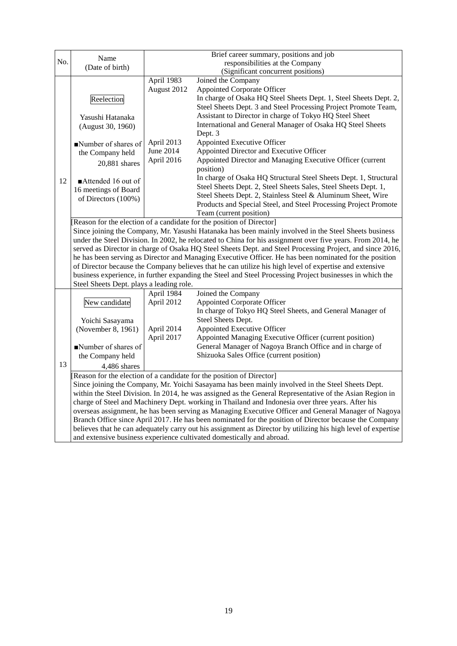|                                                                       | Name                                                                                                          |                                                                                                                                                                                | Brief career summary, positions and job                                                                    |  |  |  |
|-----------------------------------------------------------------------|---------------------------------------------------------------------------------------------------------------|--------------------------------------------------------------------------------------------------------------------------------------------------------------------------------|------------------------------------------------------------------------------------------------------------|--|--|--|
| No.                                                                   | (Date of birth)                                                                                               |                                                                                                                                                                                | responsibilities at the Company                                                                            |  |  |  |
|                                                                       |                                                                                                               |                                                                                                                                                                                | (Significant concurrent positions)                                                                         |  |  |  |
|                                                                       |                                                                                                               | April 1983<br>August 2012                                                                                                                                                      | Joined the Company<br><b>Appointed Corporate Officer</b>                                                   |  |  |  |
|                                                                       |                                                                                                               |                                                                                                                                                                                | In charge of Osaka HQ Steel Sheets Dept. 1, Steel Sheets Dept. 2,                                          |  |  |  |
|                                                                       | Reelection                                                                                                    |                                                                                                                                                                                | Steel Sheets Dept. 3 and Steel Processing Project Promote Team,                                            |  |  |  |
|                                                                       | Yasushi Hatanaka                                                                                              |                                                                                                                                                                                | Assistant to Director in charge of Tokyo HQ Steel Sheet                                                    |  |  |  |
|                                                                       | (August 30, 1960)                                                                                             |                                                                                                                                                                                | International and General Manager of Osaka HQ Steel Sheets                                                 |  |  |  |
|                                                                       |                                                                                                               |                                                                                                                                                                                | Dept. 3                                                                                                    |  |  |  |
|                                                                       | $\blacksquare$ Number of shares of                                                                            | April 2013                                                                                                                                                                     | Appointed Executive Officer                                                                                |  |  |  |
|                                                                       | the Company held                                                                                              | June 2014                                                                                                                                                                      | Appointed Director and Executive Officer                                                                   |  |  |  |
|                                                                       | 20,881 shares                                                                                                 | April 2016                                                                                                                                                                     | Appointed Director and Managing Executive Officer (current<br>position)                                    |  |  |  |
| 12                                                                    | Attended 16 out of                                                                                            |                                                                                                                                                                                | In charge of Osaka HQ Structural Steel Sheets Dept. 1, Structural                                          |  |  |  |
|                                                                       | 16 meetings of Board                                                                                          |                                                                                                                                                                                | Steel Sheets Dept. 2, Steel Sheets Sales, Steel Sheets Dept. 1,                                            |  |  |  |
|                                                                       | of Directors (100%)                                                                                           |                                                                                                                                                                                | Steel Sheets Dept. 2, Stainless Steel & Aluminum Sheet, Wire                                               |  |  |  |
|                                                                       |                                                                                                               |                                                                                                                                                                                | Products and Special Steel, and Steel Processing Project Promote                                           |  |  |  |
|                                                                       |                                                                                                               |                                                                                                                                                                                | Team (current position)                                                                                    |  |  |  |
|                                                                       |                                                                                                               | [Reason for the election of a candidate for the position of Director]<br>Since joining the Company, Mr. Yasushi Hatanaka has been mainly involved in the Steel Sheets business |                                                                                                            |  |  |  |
|                                                                       |                                                                                                               |                                                                                                                                                                                | under the Steel Division. In 2002, he relocated to China for his assignment over five years. From 2014, he |  |  |  |
|                                                                       |                                                                                                               |                                                                                                                                                                                | served as Director in charge of Osaka HQ Steel Sheets Dept. and Steel Processing Project, and since 2016,  |  |  |  |
|                                                                       |                                                                                                               |                                                                                                                                                                                | he has been serving as Director and Managing Executive Officer. He has been nominated for the position     |  |  |  |
|                                                                       | of Director because the Company believes that he can utilize his high level of expertise and extensive        |                                                                                                                                                                                |                                                                                                            |  |  |  |
|                                                                       |                                                                                                               |                                                                                                                                                                                | business experience, in further expanding the Steel and Steel Processing Project businesses in which the   |  |  |  |
|                                                                       | Steel Sheets Dept. plays a leading role.                                                                      |                                                                                                                                                                                |                                                                                                            |  |  |  |
|                                                                       |                                                                                                               | April 1984                                                                                                                                                                     | Joined the Company                                                                                         |  |  |  |
|                                                                       | New candidate                                                                                                 | April 2012                                                                                                                                                                     | <b>Appointed Corporate Officer</b>                                                                         |  |  |  |
|                                                                       |                                                                                                               |                                                                                                                                                                                | In charge of Tokyo HQ Steel Sheets, and General Manager of                                                 |  |  |  |
|                                                                       | Yoichi Sasayama                                                                                               |                                                                                                                                                                                | Steel Sheets Dept.<br>Appointed Executive Officer                                                          |  |  |  |
|                                                                       | (November 8, 1961)                                                                                            | April 2014<br>April 2017                                                                                                                                                       | Appointed Managing Executive Officer (current position)                                                    |  |  |  |
|                                                                       | Number of shares of                                                                                           |                                                                                                                                                                                | General Manager of Nagoya Branch Office and in charge of                                                   |  |  |  |
|                                                                       | the Company held                                                                                              |                                                                                                                                                                                | Shizuoka Sales Office (current position)                                                                   |  |  |  |
| 13                                                                    | 4.486 shares                                                                                                  |                                                                                                                                                                                |                                                                                                            |  |  |  |
|                                                                       | [Reason for the election of a candidate for the position of Director]                                         |                                                                                                                                                                                |                                                                                                            |  |  |  |
|                                                                       | Since joining the Company, Mr. Yoichi Sasayama has been mainly involved in the Steel Sheets Dept.             |                                                                                                                                                                                |                                                                                                            |  |  |  |
|                                                                       |                                                                                                               | within the Steel Division. In 2014, he was assigned as the General Representative of the Asian Region in                                                                       |                                                                                                            |  |  |  |
|                                                                       |                                                                                                               |                                                                                                                                                                                | charge of Steel and Machinery Dept. working in Thailand and Indonesia over three years. After his          |  |  |  |
|                                                                       |                                                                                                               |                                                                                                                                                                                | overseas assignment, he has been serving as Managing Executive Officer and General Manager of Nagoya       |  |  |  |
|                                                                       |                                                                                                               |                                                                                                                                                                                | Branch Office since April 2017. He has been nominated for the position of Director because the Company     |  |  |  |
|                                                                       | believes that he can adequately carry out his assignment as Director by utilizing his high level of expertise |                                                                                                                                                                                |                                                                                                            |  |  |  |
| and extensive business experience cultivated domestically and abroad. |                                                                                                               |                                                                                                                                                                                |                                                                                                            |  |  |  |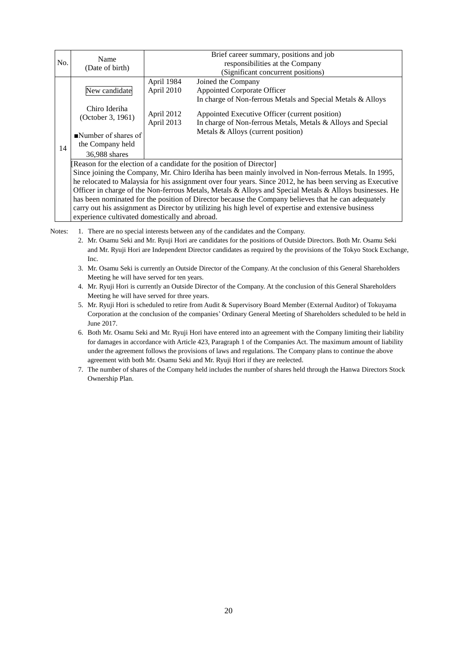|     | Name                                                                                                      | Brief career summary, positions and job |                                                                                                                |  |  |
|-----|-----------------------------------------------------------------------------------------------------------|-----------------------------------------|----------------------------------------------------------------------------------------------------------------|--|--|
| No. | (Date of birth)                                                                                           | responsibilities at the Company         |                                                                                                                |  |  |
|     |                                                                                                           |                                         | (Significant concurrent positions)                                                                             |  |  |
|     |                                                                                                           | April 1984                              | Joined the Company                                                                                             |  |  |
|     | New candidate                                                                                             | April 2010                              | Appointed Corporate Officer                                                                                    |  |  |
|     |                                                                                                           |                                         | In charge of Non-ferrous Metals and Special Metals & Alloys                                                    |  |  |
|     | Chiro Ideriha<br>(October 3, 1961)                                                                        | April 2012<br>April 2013                | Appointed Executive Officer (current position)<br>In charge of Non-ferrous Metals, Metals & Alloys and Special |  |  |
| 14  | $\blacksquare$ Number of shares of<br>the Company held                                                    |                                         | Metals & Alloys (current position)                                                                             |  |  |
|     | 36,988 shares                                                                                             |                                         |                                                                                                                |  |  |
|     | [Reason for the election of a candidate for the position of Director]                                     |                                         |                                                                                                                |  |  |
|     | Since joining the Company, Mr. Chiro Ideriha has been mainly involved in Non-ferrous Metals. In 1995,     |                                         |                                                                                                                |  |  |
|     | he relocated to Malaysia for his assignment over four years. Since 2012, he has been serving as Executive |                                         |                                                                                                                |  |  |
|     | Officer in charge of the Non-ferrous Metals, Metals & Alloys and Special Metals & Alloys businesses. He   |                                         |                                                                                                                |  |  |
|     | has been nominated for the position of Director because the Company believes that he can adequately       |                                         |                                                                                                                |  |  |
|     | carry out his assignment as Director by utilizing his high level of expertise and extensive business      |                                         |                                                                                                                |  |  |
|     | experience cultivated domestically and abroad.                                                            |                                         |                                                                                                                |  |  |

Notes: 1. There are no special interests between any of the candidates and the Company.

- 2. Mr. Osamu Seki and Mr. Ryuji Hori are candidates for the positions of Outside Directors. Both Mr. Osamu Seki and Mr. Ryuji Hori are Independent Director candidates as required by the provisions of the Tokyo Stock Exchange, Inc.
- 3. Mr. Osamu Seki is currently an Outside Director of the Company. At the conclusion of this General Shareholders Meeting he will have served for ten years.
- 4. Mr. Ryuji Hori is currently an Outside Director of the Company. At the conclusion of this General Shareholders Meeting he will have served for three years.
- 5. Mr. Ryuji Hori is scheduled to retire from Audit & Supervisory Board Member (External Auditor) of Tokuyama Corporation at the conclusion of the companies' Ordinary General Meeting of Shareholders scheduled to be held in June 2017.
- 6. Both Mr. Osamu Seki and Mr. Ryuji Hori have entered into an agreement with the Company limiting their liability for damages in accordance with Article 423, Paragraph 1 of the Companies Act. The maximum amount of liability under the agreement follows the provisions of laws and regulations. The Company plans to continue the above agreement with both Mr. Osamu Seki and Mr. Ryuji Hori if they are reelected.
- 7. The number of shares of the Company held includes the number of shares held through the Hanwa Directors Stock Ownership Plan.